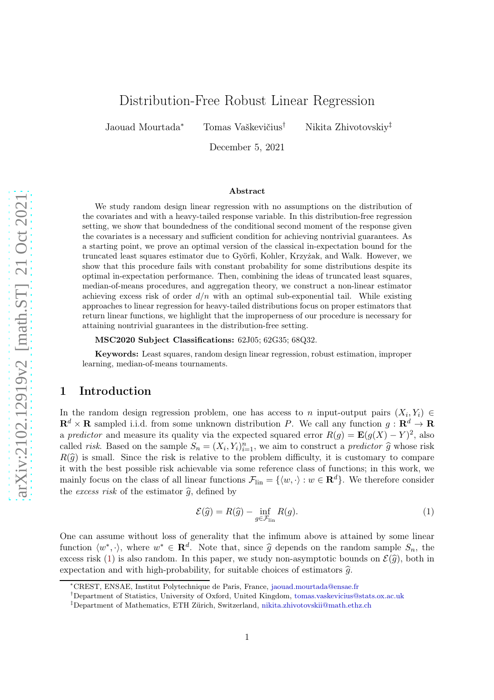# Distribution-Free Robust Linear Regression

Jaouad Mourtada<sup>∗</sup> Tomas Vaškevičius† Nikita Zhivotovskiy‡

December 5, 2021

#### Abstract

We study random design linear regression with no assumptions on the distribution of the covariates and with a heavy-tailed response variable. In this distribution-free regression setting, we show that boundedness of the conditional second moment of the response given the covariates is a necessary and sufficient condition for achieving nontrivial guarantees. As a starting point, we prove an optimal version of the classical in-expectation bound for the truncated least squares estimator due to Györfi, Kohler, Krzyżak, and Walk. However, we show that this procedure fails with constant probability for some distributions despite its optimal in-expectation performance. Then, combining the ideas of truncated least squares, median-of-means procedures, and aggregation theory, we construct a non-linear estimator achieving excess risk of order  $d/n$  with an optimal sub-exponential tail. While existing approaches to linear regression for heavy-tailed distributions focus on proper estimators that return linear functions, we highlight that the improperness of our procedure is necessary for attaining nontrivial guarantees in the distribution-free setting.

MSC2020 Subject Classifications: 62J05; 62G35; 68Q32.

Keywords: Least squares, random design linear regression, robust estimation, improper learning, median-of-means tournaments.

# 1 Introduction

In the random design regression problem, one has access to n input-output pairs  $(X_i, Y_i) \in$  $\mathbf{R}^d \times \mathbf{R}$  sampled i.i.d. from some unknown distribution P. We call any function  $g: \mathbf{R}^d \to \mathbf{R}$ a predictor and measure its quality via the expected squared error  $R(g) = \mathbf{E}(g(X) - Y)^2$ , also called *risk*. Based on the sample  $S_n = (X_i, Y_i)_{i=1}^n$ , we aim to construct a *predictor*  $\widehat{g}$  whose risk  $R(\hat{g})$  is small. Since the risk is relative to the problem difficulty, it is customary to compare it with the best possible risk achievable via some reference class of functions; in this work, we mainly focus on the class of all linear functions  $\mathcal{F}_{lin} = \{ \langle w, \cdot \rangle : w \in \mathbb{R}^d \}$ . We therefore consider the excess risk of the estimator  $\hat{g}$ , defined by

<span id="page-0-0"></span>
$$
\mathcal{E}(\hat{g}) = R(\hat{g}) - \inf_{g \in \mathcal{F}_{lin}} R(g). \tag{1}
$$

One can assume without loss of generality that the infimum above is attained by some linear function  $\langle w^*, \cdot \rangle$ , where  $w^* \in \mathbf{R}^d$ . Note that, since  $\hat{g}$  depends on the random sample  $S_n$ , the excess risk [\(1\)](#page-0-0) is also random. In this paper, we study non-asymptotic bounds on  $\mathcal{E}(\hat{g})$ , both in expectation and with high-probability, for suitable choices of estimators  $\hat{q}$ .

<sup>∗</sup>CREST, ENSAE, Institut Polytechnique de Paris, France, [jaouad.mourtada@ensae.fr](mailto:jaouad.mourtada@ensae.fr)

<sup>†</sup>Department of Statistics, University of Oxford, United Kingdom, [tomas.vaskevicius@stats.ox.ac.uk](mailto:tomas.vaskevicius@stats.ox.ac.uk)

<sup>‡</sup>Department of Mathematics, ETH Zürich, Switzerland, [nikita.zhivotovskii@math.ethz.ch](mailto:nikita.zhivotovskii@math.ethz.ch)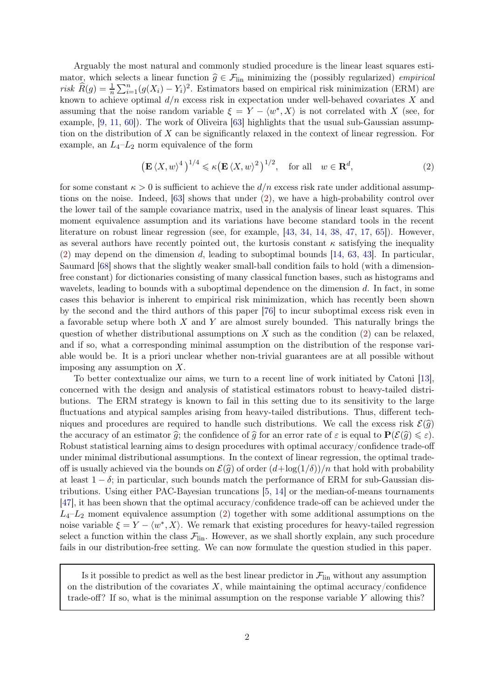Arguably the most natural and commonly studied procedure is the linear least squares estimator, which selects a linear function  $\hat{g} \in \mathcal{F}_{lin}$  minimizing the (possibly regularized) *empirical* risk  $\widehat{R}(g) = \frac{1}{n} \sum_{i=1}^{n} (g(X_i) - Y_i)^2$ . Estimators based on empirical risk minimization (ERM) are known to achieve optimal  $d/n$  excess risk in expectation under well-behaved covariates X and assuming that the noise random variable  $\xi = Y - \langle w^*, X \rangle$  is not correlated with X (see, for example, [\[9,](#page-25-0) [11,](#page-25-1) [60\]](#page-27-0)). The work of Oliveira [\[63\]](#page-27-1) highlights that the usual sub-Gaussian assumption on the distribution of X can be significantly relaxed in the context of linear regression. For example, an  $L_4$ - $L_2$  norm equivalence of the form

<span id="page-1-0"></span>
$$
\left(\mathbf{E}\left\langle X,w\right\rangle^{4}\right)^{1/4}\leqslant\kappa\left(\mathbf{E}\left\langle X,w\right\rangle^{2}\right)^{1/2},\quad\text{for all}\quad w\in\mathbf{R}^{d},\tag{2}
$$

for some constant  $\kappa > 0$  is sufficient to achieve the  $d/n$  excess risk rate under additional assumptions on the noise. Indeed, [\[63\]](#page-27-1) shows that under [\(2\)](#page-1-0), we have a high-probability control over the lower tail of the sample covariance matrix, used in the analysis of linear least squares. This moment equivalence assumption and its variations have become standard tools in the recent literature on robust linear regression (see, for example, [\[43,](#page-26-0) [34,](#page-26-1) [14,](#page-25-2) [38,](#page-26-2) [47,](#page-26-3) [17,](#page-25-3) [65\]](#page-27-2)). However, as several authors have recently pointed out, the kurtosis constant  $\kappa$  satisfying the inequality [\(2\)](#page-1-0) may depend on the dimension d, leading to suboptimal bounds [\[14,](#page-25-2) [63,](#page-27-1) [43\]](#page-26-0). In particular, Saumard [\[68\]](#page-27-3) shows that the slightly weaker small-ball condition fails to hold (with a dimensionfree constant) for dictionaries consisting of many classical function bases, such as histograms and wavelets, leading to bounds with a suboptimal dependence on the dimension d. In fact, in some cases this behavior is inherent to empirical risk minimization, which has recently been shown by the second and the third authors of this paper [\[76\]](#page-28-0) to incur suboptimal excess risk even in a favorable setup where both  $X$  and  $Y$  are almost surely bounded. This naturally brings the question of whether distributional assumptions on  $X$  such as the condition [\(2\)](#page-1-0) can be relaxed, and if so, what a corresponding minimal assumption on the distribution of the response variable would be. It is a priori unclear whether non-trivial guarantees are at all possible without imposing any assumption on X.

To better contextualize our aims, we turn to a recent line of work initiated by Catoni [\[13\]](#page-25-4), concerned with the design and analysis of statistical estimators robust to heavy-tailed distributions. The ERM strategy is known to fail in this setting due to its sensitivity to the large fluctuations and atypical samples arising from heavy-tailed distributions. Thus, different techniques and procedures are required to handle such distributions. We call the excess risk  $\mathcal{E}(\hat{q})$ the accuracy of an estimator  $\hat{q}$ ; the confidence of  $\hat{q}$  for an error rate of  $\varepsilon$  is equal to  $\mathbf{P}(\mathcal{E}(\hat{q}) \leq \varepsilon)$ . Robust statistical learning aims to design procedures with optimal accuracy/confidence trade-off under minimal distributional assumptions. In the context of linear regression, the optimal tradeoff is usually achieved via the bounds on  $\mathcal{E}(\hat{g})$  of order  $(d + \log(1/\delta))/n$  that hold with probability at least  $1 - \delta$ ; in particular, such bounds match the performance of ERM for sub-Gaussian distributions. Using either PAC-Bayesian truncations [\[5,](#page-24-0) [14\]](#page-25-2) or the median-of-means tournaments [\[47\]](#page-26-3), it has been shown that the optimal accuracy/confidence trade-off can be achieved under the  $L_4-L_2$  moment equivalence assumption [\(2\)](#page-1-0) together with some additional assumptions on the noise variable  $\xi = Y - \langle w^*, X \rangle$ . We remark that existing procedures for heavy-tailed regression select a function within the class  $\mathcal{F}_{lin}$ . However, as we shall shortly explain, any such procedure fails in our distribution-free setting. We can now formulate the question studied in this paper.

Is it possible to predict as well as the best linear predictor in  $\mathcal{F}_{lin}$  without any assumption on the distribution of the covariates  $X$ , while maintaining the optimal accuracy/confidence trade-off? If so, what is the minimal assumption on the response variable Y allowing this?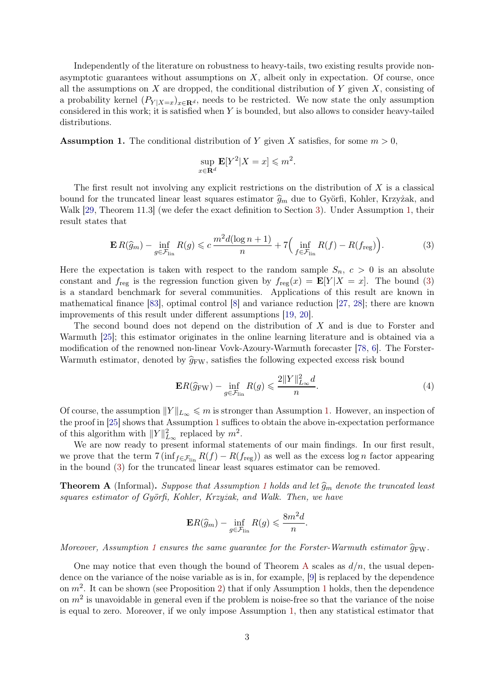Independently of the literature on robustness to heavy-tails, two existing results provide nonasymptotic guarantees without assumptions on  $X$ , albeit only in expectation. Of course, once all the assumptions on  $X$  are dropped, the conditional distribution of  $Y$  given  $X$ , consisting of a probability kernel  $(P_{Y|X=x})_{x\in\mathbf{R}^d}$ , needs to be restricted. We now state the only assumption considered in this work; it is satisfied when Y is bounded, but also allows to consider heavy-tailed distributions.

<span id="page-2-0"></span>**Assumption 1.** The conditional distribution of Y given X satisfies, for some  $m > 0$ ,

<span id="page-2-1"></span>
$$
\sup_{x \in \mathbf{R}^d} \mathbf{E}[Y^2 | X = x] \leqslant m^2.
$$

The first result not involving any explicit restrictions on the distribution of  $X$  is a classical bound for the truncated linear least squares estimator  $\hat{g}_m$  due to Györfi, Kohler, Krzyżak, and Walk [\[29,](#page-26-4) Theorem 11.3] (we defer the exact definition to Section [3\)](#page-8-0). Under Assumption [1,](#page-2-0) their result states that

$$
\mathbf{E}\,R(\widehat{g}_m) - \inf_{g \in \mathcal{F}_{\text{lin}}} R(g) \leqslant c \frac{m^2 d(\log n + 1)}{n} + 7\Big(\inf_{f \in \mathcal{F}_{\text{lin}}} R(f) - R(f_{\text{reg}})\Big). \tag{3}
$$

Here the expectation is taken with respect to the random sample  $S_n$ ,  $c > 0$  is an absolute constant and  $f_{reg}$  is the regression function given by  $f_{reg}(x) = \mathbf{E}[Y|X=x]$ . The bound [\(3\)](#page-2-1) is a standard benchmark for several communities. Applications of this result are known in mathematical finance [\[83\]](#page-28-1), optimal control [\[8\]](#page-25-5) and variance reduction [\[27,](#page-25-6) [28\]](#page-25-7); there are known improvements of this result under different assumptions [\[19,](#page-25-8) [20\]](#page-25-9).

The second bound does not depend on the distribution of X and is due to Forster and Warmuth [\[25\]](#page-25-10); this estimator originates in the online learning literature and is obtained via a modification of the renowned non-linear Vovk-Azoury-Warmuth forecaster [\[78,](#page-28-2) [6\]](#page-24-1). The Forster-Warmuth estimator, denoted by  $\hat{g}_{\text{FW}}$ , satisfies the following expected excess risk bound

<span id="page-2-3"></span>
$$
\mathbf{E}R(\widehat{g}_{\mathrm{FW}}) - \inf_{g \in \mathcal{F}_{\mathrm{lin}}} R(g) \leqslant \frac{2\|Y\|_{L_{\infty}}^2 d}{n}.\tag{4}
$$

Of course, the assumption  $||Y||_{L_{\infty}} \leqslant m$  is stronger than Assumption [1.](#page-2-0) However, an inspection of the proof in [\[25\]](#page-25-10) shows that Assumption [1](#page-2-0) suffices to obtain the above in-expectation performance of this algorithm with  $||Y||_{L_{\infty}}^2$  replaced by  $m^2$ .

We are now ready to present informal statements of our main findings. In our first result, we prove that the term  $7(\inf_{f \in \mathcal{F}_{lin}} R(f) - R(f_{reg}))$  as well as the excess log n factor appearing in the bound [\(3\)](#page-2-1) for the truncated linear least squares estimator can be removed.

<span id="page-2-2"></span>**Theorem A** (Informal). Suppose that Assumption [1](#page-2-0) holds and let  $\hat{g}_m$  denote the truncated least squares estimator of Györfi, Kohler, Krzyżak, and Walk. Then, we have

$$
\mathbf{E}R(\widehat{g}_m) - \inf_{g \in \mathcal{F}_{\text{lin}}} R(g) \leqslant \frac{8m^2d}{n}.
$$

Moreover, Assumption [1](#page-2-0) ensures the same quarantee for the Forster-Warmuth estimator  $\hat{q}_{FW}$ .

One may notice that even though the bound of Theorem [A](#page-2-2) scales as  $d/n$ , the usual dependence on the variance of the noise variable as is in, for example, [\[9\]](#page-25-0) is replaced by the dependence on  $m^2$ . It can be shown (see Proposition [2\)](#page-19-0) that if only Assumption [1](#page-2-0) holds, then the dependence on  $m^2$  is unavoidable in general even if the problem is noise-free so that the variance of the noise is equal to zero. Moreover, if we only impose Assumption [1,](#page-2-0) then any statistical estimator that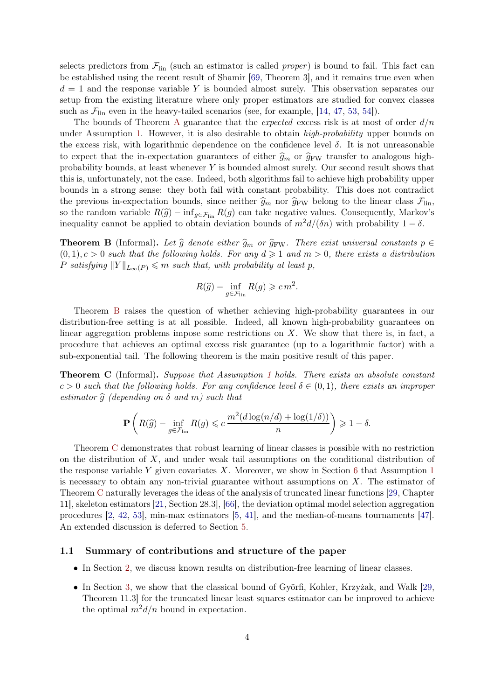selects predictors from  $\mathcal{F}_{lin}$  (such an estimator is called *proper*) is bound to fail. This fact can be established using the recent result of Shamir [\[69,](#page-27-4) Theorem 3], and it remains true even when  $d = 1$  and the response variable Y is bounded almost surely. This observation separates our setup from the existing literature where only proper estimators are studied for convex classes such as  $\mathcal{F}_{lin}$  even in the heavy-tailed scenarios (see, for example, [\[14,](#page-25-2) [47,](#page-26-3) [53,](#page-27-5) [54\]](#page-27-6)).

The bounds of Theorem [A](#page-2-2) guarantee that the *expected* excess risk is at most of order  $d/n$ under Assumption [1.](#page-2-0) However, it is also desirable to obtain *high-probability* upper bounds on the excess risk, with logarithmic dependence on the confidence level  $\delta$ . It is not unreasonable to expect that the in-expectation guarantees of either  $\hat{g}_m$  or  $\hat{g}_{FW}$  transfer to analogous highprobability bounds, at least whenever Y is bounded almost surely. Our second result shows that this is, unfortunately, not the case. Indeed, both algorithms fail to achieve high probability upper bounds in a strong sense: they both fail with constant probability. This does not contradict the previous in-expectation bounds, since neither  $\hat{g}_m$  nor  $\hat{g}_{\text{FW}}$  belong to the linear class  $\mathcal{F}_{\text{lin}}$ , so the random variable  $R(\hat{g}) - \inf_{g \in \mathcal{F}_{lin}} R(g)$  can take negative values. Consequently, Markov's inequality cannot be applied to obtain deviation bounds of  $m^2d/(\delta n)$  with probability  $1 - \delta$ .

<span id="page-3-0"></span>**Theorem B** (Informal). Let  $\hat{g}$  denote either  $\hat{g}_m$  or  $\hat{g}_{FW}$ . There exist universal constants  $p \in$  $(0, 1), c > 0$  such that the following holds. For any  $d \geq 1$  and  $m > 0$ , there exists a distribution P satisfying  $||Y||_{L_{\infty}(P)} \leq m$  such that, with probability at least p,

$$
R(\widehat{g}) - \inf_{g \in \mathcal{F}_{\text{lin}}} R(g) \geqslant c m^2.
$$

Theorem [B](#page-3-0) raises the question of whether achieving high-probability guarantees in our distribution-free setting is at all possible. Indeed, all known high-probability guarantees on linear aggregation problems impose some restrictions on X. We show that there is, in fact, a procedure that achieves an optimal excess risk guarantee (up to a logarithmic factor) with a sub-exponential tail. The following theorem is the main positive result of this paper.

<span id="page-3-1"></span>Theorem C (Informal). Suppose that Assumption [1](#page-2-0) holds. There exists an absolute constant  $c > 0$  such that the following holds. For any confidence level  $\delta \in (0,1)$ , there exists an improper estimator  $\hat{g}$  (depending on  $\delta$  and m) such that

$$
\mathbf{P}\left(R(\widehat{g}) - \inf_{g \in \mathcal{F}_{\text{lin}}} R(g) \leqslant c \frac{m^2(d\log(n/d) + \log(1/\delta))}{n}\right) \geqslant 1 - \delta.
$$

Theorem [C](#page-3-1) demonstrates that robust learning of linear classes is possible with no restriction on the distribution of  $X$ , and under weak tail assumptions on the conditional distribution of the response variable Y given covariates X. Moreover, we show in Section [6](#page-19-1) that Assumption [1](#page-2-0) is necessary to obtain any non-trivial guarantee without assumptions on  $X$ . The estimator of Theorem [C](#page-3-1) naturally leverages the ideas of the analysis of truncated linear functions [\[29,](#page-26-4) Chapter 11], skeleton estimators [\[21,](#page-25-11) Section 28.3], [\[66\]](#page-27-7), the deviation optimal model selection aggregation procedures [\[2,](#page-24-2) [42,](#page-26-5) [53\]](#page-27-5), min-max estimators [\[5,](#page-24-0) [41\]](#page-26-6), and the median-of-means tournaments [\[47\]](#page-26-3). An extended discussion is deferred to Section [5.](#page-12-0)

#### 1.1 Summary of contributions and structure of the paper

- In Section [2,](#page-6-0) we discuss known results on distribution-free learning of linear classes.
- In Section [3,](#page-8-0) we show that the classical bound of Györfi, Kohler, Krzyżak, and Walk [\[29,](#page-26-4) Theorem 11.3] for the truncated linear least squares estimator can be improved to achieve the optimal  $m^2d/n$  bound in expectation.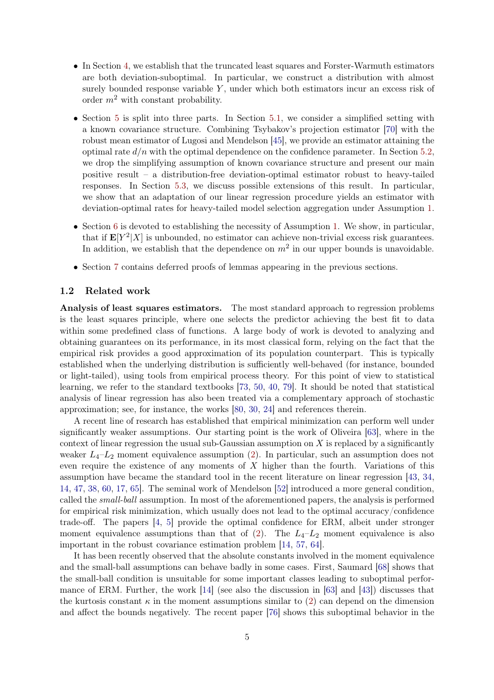- In Section [4,](#page-10-0) we establish that the truncated least squares and Forster-Warmuth estimators are both deviation-suboptimal. In particular, we construct a distribution with almost surely bounded response variable Y, under which both estimators incur an excess risk of order  $m^2$  with constant probability.
- Section [5](#page-12-0) is split into three parts. In Section [5.1,](#page-12-1) we consider a simplified setting with a known covariance structure. Combining Tsybakov's projection estimator [\[70\]](#page-27-8) with the robust mean estimator of Lugosi and Mendelson [\[45\]](#page-26-7), we provide an estimator attaining the optimal rate  $d/n$  with the optimal dependence on the confidence parameter. In Section [5.2,](#page-13-0) we drop the simplifying assumption of known covariance structure and present our main positive result – a distribution-free deviation-optimal estimator robust to heavy-tailed responses. In Section [5.3,](#page-18-0) we discuss possible extensions of this result. In particular, we show that an adaptation of our linear regression procedure yields an estimator with deviation-optimal rates for heavy-tailed model selection aggregation under Assumption [1.](#page-2-0)
- Section [6](#page-19-1) is devoted to establishing the necessity of Assumption [1.](#page-2-0) We show, in particular, that if  $\mathbf{E}[Y^2|X]$  is unbounded, no estimator can achieve non-trivial excess risk guarantees. In addition, we establish that the dependence on  $m^2$  in our upper bounds is unavoidable.
- Section [7](#page-21-0) contains deferred proofs of lemmas appearing in the previous sections.

#### <span id="page-4-0"></span>1.2 Related work

Analysis of least squares estimators. The most standard approach to regression problems is the least squares principle, where one selects the predictor achieving the best fit to data within some predefined class of functions. A large body of work is devoted to analyzing and obtaining guarantees on its performance, in its most classical form, relying on the fact that the empirical risk provides a good approximation of its population counterpart. This is typically established when the underlying distribution is sufficiently well-behaved (for instance, bounded or light-tailed), using tools from empirical process theory. For this point of view to statistical learning, we refer to the standard textbooks [\[73,](#page-27-9) [50,](#page-26-8) [40,](#page-26-9) [79\]](#page-28-3). It should be noted that statistical analysis of linear regression has also been treated via a complementary approach of stochastic approximation; see, for instance, the works [\[80,](#page-28-4) [30,](#page-26-10) [24\]](#page-25-12) and references therein.

A recent line of research has established that empirical minimization can perform well under significantly weaker assumptions. Our starting point is the work of Oliveira [\[63\]](#page-27-1), where in the context of linear regression the usual sub-Gaussian assumption on  $X$  is replaced by a significantly weaker  $L_4-L_2$  moment equivalence assumption [\(2\)](#page-1-0). In particular, such an assumption does not even require the existence of any moments of X higher than the fourth. Variations of this assumption have became the standard tool in the recent literature on linear regression [\[43,](#page-26-0) [34,](#page-26-1) [14,](#page-25-2) [47,](#page-26-3) [38,](#page-26-2) [60,](#page-27-0) [17,](#page-25-3) [65\]](#page-27-2). The seminal work of Mendelson [\[52\]](#page-27-10) introduced a more general condition, called the small-ball assumption. In most of the aforementioned papers, the analysis is performed for empirical risk minimization, which usually does not lead to the optimal accuracy/confidence trade-off. The papers [\[4,](#page-24-3) [5\]](#page-24-0) provide the optimal confidence for ERM, albeit under stronger moment equivalence assumptions than that of [\(2\)](#page-1-0). The  $L_4-L_2$  moment equivalence is also important in the robust covariance estimation problem [\[14,](#page-25-2) [57,](#page-27-11) [64\]](#page-27-12).

It has been recently observed that the absolute constants involved in the moment equivalence and the small-ball assumptions can behave badly in some cases. First, Saumard [\[68\]](#page-27-3) shows that the small-ball condition is unsuitable for some important classes leading to suboptimal performance of ERM. Further, the work [\[14\]](#page-25-2) (see also the discussion in [\[63\]](#page-27-1) and [\[43\]](#page-26-0)) discusses that the kurtosis constant  $\kappa$  in the moment assumptions similar to [\(2\)](#page-1-0) can depend on the dimension and affect the bounds negatively. The recent paper [\[76\]](#page-28-0) shows this suboptimal behavior in the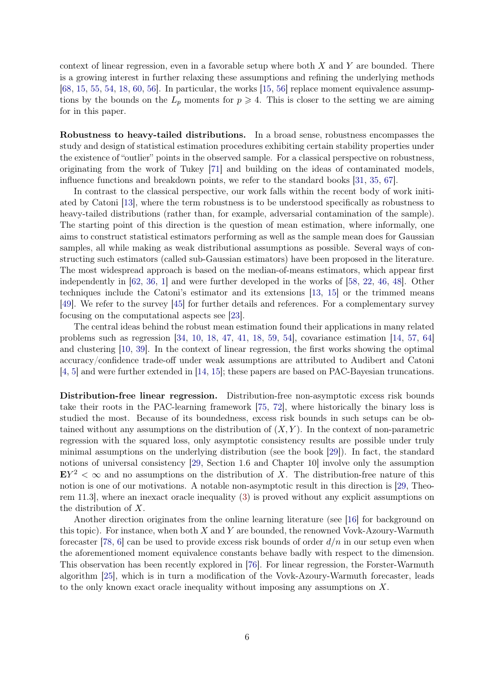context of linear regression, even in a favorable setup where both  $X$  and  $Y$  are bounded. There is a growing interest in further relaxing these assumptions and refining the underlying methods [\[68,](#page-27-3) [15,](#page-25-13) [55,](#page-27-13) [54,](#page-27-6) [18,](#page-25-14) [60,](#page-27-0) [56\]](#page-27-14). In particular, the works [\[15,](#page-25-13) 56] replace moment equivalence assumptions by the bounds on the  $L_p$  moments for  $p \geq 4$ . This is closer to the setting we are aiming for in this paper.

Robustness to heavy-tailed distributions. In a broad sense, robustness encompasses the study and design of statistical estimation procedures exhibiting certain stability properties under the existence of "outlier" points in the observed sample. For a classical perspective on robustness, originating from the work of Tukey [\[71\]](#page-27-15) and building on the ideas of contaminated models, influence functions and breakdown points, we refer to the standard books [\[31,](#page-26-11) [35,](#page-26-12) [67\]](#page-27-16).

In contrast to the classical perspective, our work falls within the recent body of work initiated by Catoni [\[13\]](#page-25-4), where the term robustness is to be understood specifically as robustness to heavy-tailed distributions (rather than, for example, adversarial contamination of the sample). The starting point of this direction is the question of mean estimation, where informally, one aims to construct statistical estimators performing as well as the sample mean does for Gaussian samples, all while making as weak distributional assumptions as possible. Several ways of constructing such estimators (called sub-Gaussian estimators) have been proposed in the literature. The most widespread approach is based on the median-of-means estimators, which appear first independently in [\[62,](#page-27-17) [36,](#page-26-13) [1\]](#page-24-4) and were further developed in the works of [\[58,](#page-27-18) [22,](#page-25-15) [46,](#page-26-14) [48\]](#page-26-15). Other techniques include the Catoni's estimator and its extensions [\[13,](#page-25-4) [15\]](#page-25-13) or the trimmed means [\[49\]](#page-26-16). We refer to the survey [\[45\]](#page-26-7) for further details and references. For a complementary survey focusing on the computational aspects see [\[23\]](#page-25-16).

The central ideas behind the robust mean estimation found their applications in many related problems such as regression [\[34,](#page-26-1) [10,](#page-25-17) [18,](#page-25-14) [47,](#page-26-3) [41,](#page-26-6) [18,](#page-25-14) [59,](#page-27-19) [54\]](#page-27-6), covariance estimation [\[14,](#page-25-2) [57,](#page-27-11) [64\]](#page-27-12) and clustering [\[10,](#page-25-17) [39\]](#page-26-17). In the context of linear regression, the first works showing the optimal accuracy/confidence trade-off under weak assumptions are attributed to Audibert and Catoni [\[4,](#page-24-3) [5\]](#page-24-0) and were further extended in [\[14,](#page-25-2) [15\]](#page-25-13); these papers are based on PAC-Bayesian truncations.

Distribution-free linear regression. Distribution-free non-asymptotic excess risk bounds take their roots in the PAC-learning framework [\[75,](#page-27-20) [72\]](#page-27-21), where historically the binary loss is studied the most. Because of its boundedness, excess risk bounds in such setups can be obtained without any assumptions on the distribution of  $(X, Y)$ . In the context of non-parametric regression with the squared loss, only asymptotic consistency results are possible under truly minimal assumptions on the underlying distribution (see the book [\[29\]](#page-26-4)). In fact, the standard notions of universal consistency [\[29,](#page-26-4) Section 1.6 and Chapter 10] involve only the assumption  $EY^2 < \infty$  and no assumptions on the distribution of X. The distribution-free nature of this notion is one of our motivations. A notable non-asymptotic result in this direction is [\[29,](#page-26-4) Theorem 11.3], where an inexact oracle inequality [\(3\)](#page-2-1) is proved without any explicit assumptions on the distribution of X.

Another direction originates from the online learning literature (see [\[16\]](#page-25-18) for background on this topic). For instance, when both  $X$  and  $Y$  are bounded, the renowned Vovk-Azoury-Warmuth forecaster [\[78,](#page-28-2) [6\]](#page-24-1) can be used to provide excess risk bounds of order  $d/n$  in our setup even when the aforementioned moment equivalence constants behave badly with respect to the dimension. This observation has been recently explored in [\[76\]](#page-28-0). For linear regression, the Forster-Warmuth algorithm [\[25\]](#page-25-10), which is in turn a modification of the Vovk-Azoury-Warmuth forecaster, leads to the only known exact oracle inequality without imposing any assumptions on  $X$ .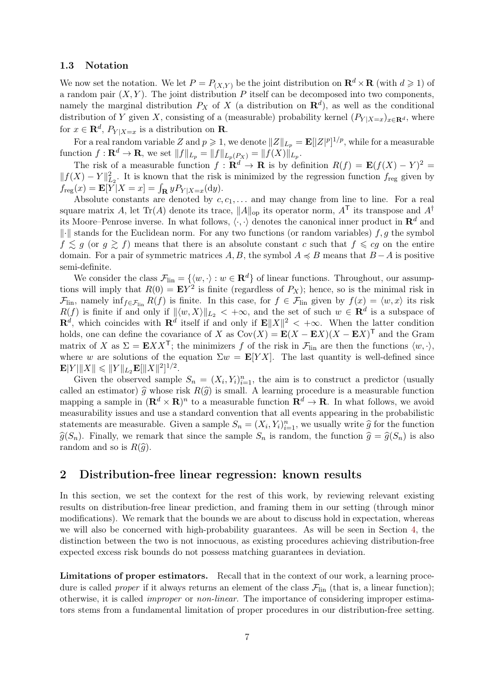#### <span id="page-6-1"></span>1.3 Notation

We now set the notation. We let  $P = P_{(X,Y)}$  be the joint distribution on  $\mathbb{R}^d \times \mathbb{R}$  (with  $d \geq 1$ ) of a random pair  $(X, Y)$ . The joint distribution P itself can be decomposed into two components, namely the marginal distribution  $P_X$  of X (a distribution on  $\mathbb{R}^d$ ), as well as the conditional distribution of Y given X, consisting of a (measurable) probability kernel  $(P_{Y|X=x})_{x\in\mathbf{R}^d}$ , where for  $x \in \mathbf{R}^d$ ,  $P_{Y|X=x}$  is a distribution on **R**.

For a real random variable Z and  $p \geq 1$ , we denote  $||Z||_{L_p} = \mathbf{E}||Z|^p$ <sup>1/p</sup>, while for a measurable function  $f: \mathbf{R}^d \to \mathbf{R}$ , we set  $||f||_{L_p} = ||f||_{L_p(P_X)} = ||f(X)||_{L_p}$ .

The risk of a measurable function  $f : \mathbf{R}^d \to \mathbf{R}$  is by definition  $R(f) = \mathbf{E}(f(X) - Y)^2 =$  $||f(X) - Y||_{L_2}^2$ . It is known that the risk is minimized by the regression function  $f_{reg}$  given by  $f_{\text{reg}}(x) = \mathbf{E}[Y|X=x] = \int_{\mathbf{R}} y P_{Y|X=x}(\mathrm{d}y).$ 

Absolute constants are denoted by  $c, c_1, \ldots$  and may change from line to line. For a real square matrix A, let Tr(A) denote its trace,  $||A||_{op}$  its operator norm,  $A<sup>T</sup>$  its transpose and  $A<sup>\dagger</sup>$ its Moore–Penrose inverse. In what follows,  $\langle \cdot, \cdot \rangle$  denotes the canonical inner product in  $\mathbb{R}^d$  and  $\|\cdot\|$  stands for the Euclidean norm. For any two functions (or random variables) f, g the symbol  $f \lesssim g$  (or  $g \gtrsim f$ ) means that there is an absolute constant c such that  $f \leqslant cg$  on the entire domain. For a pair of symmetric matrices A, B, the symbol  $A \preccurlyeq B$  means that  $B - A$  is positive semi-definite.

We consider the class  $\mathcal{F}_{lin} = \{\langle w, \cdot \rangle : w \in \mathbf{R}^d\}$  of linear functions. Throughout, our assumptions will imply that  $R(0) = \mathbf{E}Y^2$  is finite (regardless of  $P_X$ ); hence, so is the minimal risk in  $\mathcal{F}_{\text{lin}}$ , namely  $\inf_{f \in \mathcal{F}_{\text{lin}}} R(f)$  is finite. In this case, for  $f \in \mathcal{F}_{\text{lin}}$  given by  $f(x) = \langle w, x \rangle$  its risk  $R(f)$  is finite if and only if  $\|\langle w, X \rangle\|_{L_2} < +\infty$ , and the set of such  $w \in \mathbf{R}^d$  is a subspace of  $\mathbf{R}^d$ , which coincides with  $\mathbf{R}^d$  itself if and only if  $\mathbf{E} ||X||^2 < +\infty$ . When the latter condition holds, one can define the covariance of X as  $Cov(X) = E(X - EX)(X - EX)^T$  and the Gram matrix of X as  $\Sigma = \mathbf{E}XX^{\mathsf{T}}$ ; the minimizers f of the risk in  $\mathcal{F}_{lin}$  are then the functions  $\langle w, \cdot \rangle$ , where w are solutions of the equation  $\Sigma w = \mathbf{E}[YX]$ . The last quantity is well-defined since  $\mathbf{E}|Y| \|X\| \leqslant \|Y\|_{L_2}\mathbf{E}[\|X\|^2]^{1/2}.$ 

Given the observed sample  $S_n = (X_i, Y_i)_{i=1}^n$ , the aim is to construct a predictor (usually called an estimator)  $\hat{g}$  whose risk  $R(\hat{g})$  is small. A learning procedure is a measurable function mapping a sample in  $(\mathbf{R}^d \times \mathbf{R})^n$  to a measurable function  $\mathbf{R}^d \to \mathbf{R}$ . In what follows, we avoid measurability issues and use a standard convention that all events appearing in the probabilistic statements are measurable. Given a sample  $S_n = (X_i, Y_i)_{i=1}^n$ , we usually write  $\widehat{g}$  for the function  $\hat{g}(S_n)$ . Finally, we remark that since the sample  $S_n$  is random, the function  $\hat{g} = \hat{g}(S_n)$  is also random and so is  $R(\hat{q})$ .

# <span id="page-6-0"></span>2 Distribution-free linear regression: known results

In this section, we set the context for the rest of this work, by reviewing relevant existing results on distribution-free linear prediction, and framing them in our setting (through minor modifications). We remark that the bounds we are about to discuss hold in expectation, whereas we will also be concerned with high-probability guarantees. As will be seen in Section [4,](#page-10-0) the distinction between the two is not innocuous, as existing procedures achieving distribution-free expected excess risk bounds do not possess matching guarantees in deviation.

Limitations of proper estimators. Recall that in the context of our work, a learning procedure is called *proper* if it always returns an element of the class  $\mathcal{F}_{lin}$  (that is, a linear function); otherwise, it is called improper or non-linear. The importance of considering improper estimators stems from a fundamental limitation of proper procedures in our distribution-free setting.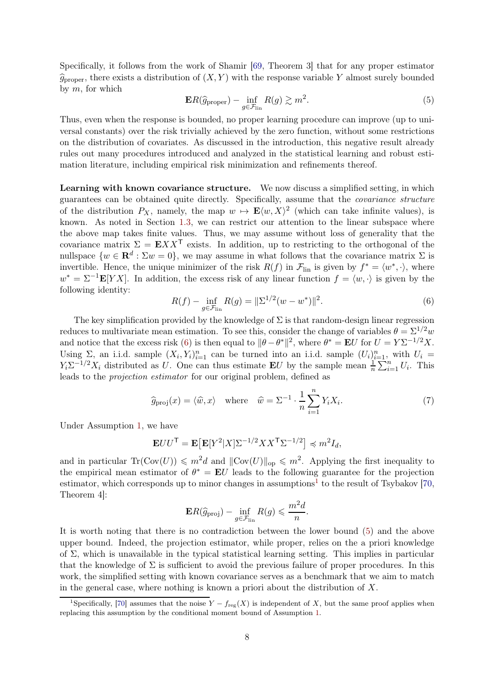Specifically, it follows from the work of Shamir [\[69,](#page-27-4) Theorem 3] that for any proper estimator  $\widehat{g}_{\text{proper}}$ , there exists a distribution of  $(X, Y)$  with the response variable Y almost surely bounded by  $m$ , for which

<span id="page-7-2"></span>
$$
\mathbf{E}R(\widehat{g}_{\text{proper}}) - \inf_{g \in \mathcal{F}_{\text{lin}}} R(g) \gtrsim m^2.
$$
 (5)

Thus, even when the response is bounded, no proper learning procedure can improve (up to universal constants) over the risk trivially achieved by the zero function, without some restrictions on the distribution of covariates. As discussed in the introduction, this negative result already rules out many procedures introduced and analyzed in the statistical learning and robust estimation literature, including empirical risk minimization and refinements thereof.

Learning with known covariance structure. We now discuss a simplified setting, in which guarantees can be obtained quite directly. Specifically, assume that the covariance structure of the distribution  $P_X$ , namely, the map  $w \mapsto \mathbf{E}\langle w, X\rangle^2$  (which can take infinite values), is known. As noted in Section [1.3,](#page-6-1) we can restrict our attention to the linear subspace where the above map takes finite values. Thus, we may assume without loss of generality that the covariance matrix  $\Sigma = \mathbf{E} X X^{\mathsf{T}}$  exists. In addition, up to restricting to the orthogonal of the nullspace  $\{w \in \mathbf{R}^d : \Sigma w = 0\}$ , we may assume in what follows that the covariance matrix  $\Sigma$  is invertible. Hence, the unique minimizer of the risk  $R(f)$  in  $\mathcal{F}_{lin}$  is given by  $f^* = \langle w^*, \cdot \rangle$ , where  $w^* = \Sigma^{-1} \mathbf{E}[YX]$ . In addition, the excess risk of any linear function  $f = \langle w, \cdot \rangle$  is given by the following identity:

<span id="page-7-0"></span>
$$
R(f) - \inf_{g \in \mathcal{F}_{\text{lin}}} R(g) = \|\Sigma^{1/2}(w - w^*)\|^2.
$$
 (6)

The key simplification provided by the knowledge of  $\Sigma$  is that random-design linear regression reduces to multivariate mean estimation. To see this, consider the change of variables  $\theta = \Sigma^{1/2}w$ and notice that the excess risk [\(6\)](#page-7-0) is then equal to  $\|\theta - \theta^*\|^2$ , where  $\theta^* = \mathbf{E}U$  for  $U = Y\Sigma^{-1/2}X$ . Using  $\Sigma$ , an i.i.d. sample  $(X_i, Y_i)_{i=1}^n$  can be turned into an i.i.d. sample  $(U_i)_{i=1}^n$ , with  $U_i =$  $Y_i \Sigma^{-1/2} X_i$  distributed as U. One can thus estimate **E**U by the sample mean  $\frac{1}{n} \sum_{i=1}^{n} U_i$ . This leads to the projection estimator for our original problem, defined as

$$
\widehat{g}_{\text{proj}}(x) = \langle \widehat{w}, x \rangle \quad \text{where} \quad \widehat{w} = \Sigma^{-1} \cdot \frac{1}{n} \sum_{i=1}^{n} Y_i X_i. \tag{7}
$$

Under Assumption [1,](#page-2-0) we have

$$
\mathbf{E}UU^{\mathsf{T}} = \mathbf{E}\big[\mathbf{E}[Y^2|X]\Sigma^{-1/2}XX^{\mathsf{T}}\Sigma^{-1/2}\big] \preccurlyeq m^2 I_d,
$$

and in particular  $\text{Tr}(\text{Cov}(U)) \leq m^2 d$  and  $||\text{Cov}(U)||_{op} \leq m^2$ . Applying the first inequality to the empirical mean estimator of  $\theta^* = EU$  leads to the following guarantee for the projection estimator, which corresponds up to minor changes in assumptions<sup>[1](#page-7-1)</sup> to the result of Tsybakov [\[70,](#page-27-8) Theorem 4]:

<span id="page-7-3"></span>
$$
\mathbf{E}R(\widehat{g}_{\mathrm{proj}}) - \inf_{g \in \mathcal{F}_{\mathrm{lin}}} R(g) \leqslant \frac{m^2 d}{n}.
$$

It is worth noting that there is no contradiction between the lower bound [\(5\)](#page-7-2) and the above upper bound. Indeed, the projection estimator, while proper, relies on the a priori knowledge of  $\Sigma$ , which is unavailable in the typical statistical learning setting. This implies in particular that the knowledge of  $\Sigma$  is sufficient to avoid the previous failure of proper procedures. In this work, the simplified setting with known covariance serves as a benchmark that we aim to match in the general case, where nothing is known a priori about the distribution of  $X$ .

<span id="page-7-1"></span><sup>&</sup>lt;sup>1</sup>Specifically, [\[70\]](#page-27-8) assumes that the noise  $Y - f_{\text{reg}}(X)$  is independent of X, but the same proof applies when replacing this assumption by the conditional moment bound of Assumption [1.](#page-2-0)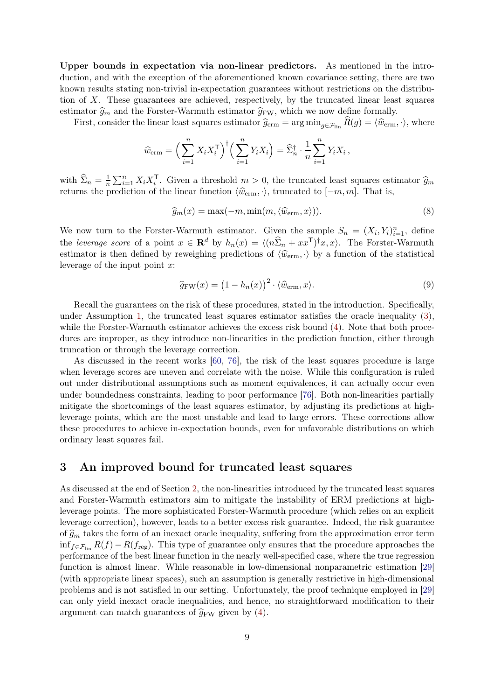Upper bounds in expectation via non-linear predictors. As mentioned in the introduction, and with the exception of the aforementioned known covariance setting, there are two known results stating non-trivial in-expectation guarantees without restrictions on the distribution of X. These guarantees are achieved, respectively, by the truncated linear least squares estimator  $\hat{g}_m$  and the Forster-Warmuth estimator  $\hat{g}_{FW}$ , which we now define formally.

First, consider the linear least squares estimator  $\hat{g}_{\text{erm}} = \arg \min_{g \in \mathcal{F}_{\text{lin}}} \hat{R}(g) = \langle \hat{w}_{\text{erm}}, \cdot \rangle$ , where

$$
\widehat{w}_{\text{erm}} = \left(\sum_{i=1}^n X_i X_i^{\mathsf{T}}\right)^{\dagger} \left(\sum_{i=1}^n Y_i X_i\right) = \widehat{\Sigma}_n^{\dagger} \cdot \frac{1}{n} \sum_{i=1}^n Y_i X_i ,
$$

with  $\widehat{\Sigma}_n = \frac{1}{n}$  $\frac{1}{n}\sum_{i=1}^n X_i X_i^{\mathsf{T}}$ . Given a threshold  $m > 0$ , the truncated least squares estimator  $\widehat{g}_m$ returns the prediction of the linear function  $\langle \hat{w}_{\text{erm}}, \cdot \rangle$ , truncated to  $[-m, m]$ . That is,

<span id="page-8-1"></span>
$$
\widehat{g}_m(x) = \max(-m, \min(m, \langle \widehat{w}_{\text{erm}}, x \rangle)). \tag{8}
$$

We now turn to the Forster-Warmuth estimator. Given the sample  $S_n = (X_i, Y_i)_{i=1}^n$ , define the leverage score of a point  $x \in \mathbf{R}^d$  by  $h_n(x) = \langle (n\hat{\Sigma}_n + xx^{\mathsf{T}})^{\dagger}x, x \rangle$ . The Forster-Warmuth estimator is then defined by reweighing predictions of  $\langle \hat{w}_{\text{erm}} \rangle$  by a function of the statistical leverage of the input point  $x$ :

<span id="page-8-2"></span>
$$
\hat{g}_{\text{FW}}(x) = \left(1 - h_n(x)\right)^2 \cdot \langle \hat{w}_{\text{erm}}, x \rangle. \tag{9}
$$

Recall the guarantees on the risk of these procedures, stated in the introduction. Specifically, under Assumption [1,](#page-2-0) the truncated least squares estimator satisfies the oracle inequality [\(3\)](#page-2-1), while the Forster-Warmuth estimator achieves the excess risk bound  $(4)$ . Note that both procedures are improper, as they introduce non-linearities in the prediction function, either through truncation or through the leverage correction.

As discussed in the recent works [\[60,](#page-27-0) [76\]](#page-28-0), the risk of the least squares procedure is large when leverage scores are uneven and correlate with the noise. While this configuration is ruled out under distributional assumptions such as moment equivalences, it can actually occur even under boundedness constraints, leading to poor performance [\[76\]](#page-28-0). Both non-linearities partially mitigate the shortcomings of the least squares estimator, by adjusting its predictions at highleverage points, which are the most unstable and lead to large errors. These corrections allow these procedures to achieve in-expectation bounds, even for unfavorable distributions on which ordinary least squares fail.

# <span id="page-8-0"></span>3 An improved bound for truncated least squares

As discussed at the end of Section [2,](#page-6-0) the non-linearities introduced by the truncated least squares and Forster-Warmuth estimators aim to mitigate the instability of ERM predictions at highleverage points. The more sophisticated Forster-Warmuth procedure (which relies on an explicit leverage correction), however, leads to a better excess risk guarantee. Indeed, the risk guarantee of  $\widehat{g}_m$  takes the form of an inexact oracle inequality, suffering from the approximation error term  $\inf_{f \in \mathcal{F}_{lin}} R(f) - R(f_{reg})$ . This type of guarantee only ensures that the procedure approaches the performance of the best linear function in the nearly well-specified case, where the true regression function is almost linear. While reasonable in low-dimensional nonparametric estimation [\[29\]](#page-26-4) (with appropriate linear spaces), such an assumption is generally restrictive in high-dimensional problems and is not satisfied in our setting. Unfortunately, the proof technique employed in [\[29\]](#page-26-4) can only yield inexact oracle inequalities, and hence, no straightforward modification to their argument can match guarantees of  $\hat{g}_{FW}$  given by [\(4\)](#page-2-3).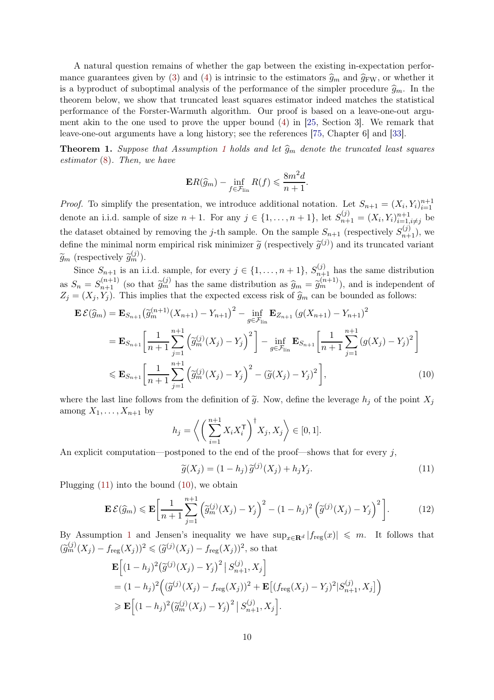A natural question remains of whether the gap between the existing in-expectation perfor-mance guarantees given by [\(3\)](#page-2-1) and [\(4\)](#page-2-3) is intrinsic to the estimators  $\hat{g}_m$  and  $\hat{g}_{FW}$ , or whether it is a byproduct of suboptimal analysis of the performance of the simpler procedure  $\hat{g}_m$ . In the theorem below, we show that truncated least squares estimator indeed matches the statistical performance of the Forster-Warmuth algorithm. Our proof is based on a leave-one-out argument akin to the one used to prove the upper bound [\(4\)](#page-2-3) in [\[25,](#page-25-10) Section 3]. We remark that leave-one-out arguments have a long history; see the references [\[75,](#page-27-20) Chapter 6] and [\[33\]](#page-26-18).

<span id="page-9-3"></span>**Theorem [1](#page-2-0).** Suppose that Assumption 1 holds and let  $\hat{g}_m$  denote the truncated least squares estimator [\(8\)](#page-8-1). Then, we have

$$
\mathbf{E}R(\widehat{g}_m) - \inf_{f \in \mathcal{F}_{\text{lin}}} R(f) \leqslant \frac{8m^2d}{n+1}.
$$

*Proof.* To simplify the presentation, we introduce additional notation. Let  $S_{n+1} = (X_i, Y_i)_{i=1}^{n+1}$ denote an i.i.d. sample of size  $n + 1$ . For any  $j \in \{1, ..., n + 1\}$ , let  $S_{n+1}^{(j)} = (X_i, Y_i)_{i=1}^{n+1}$  $\sum_{i=1,i\neq j}^{n+1}$  be the dataset obtained by removing the j-th sample. On the sample  $S_{n+1}$  (respectively  $S_{n+1}^{(j)}$ ), we define the minimal norm empirical risk minimizer  $\tilde{g}$  (respectively  $\tilde{g}^{(j)}$ ) and its truncated variant  $\widetilde{g}_m$  (respectively  $\widetilde{g}_m^{(j)}$ ).

Since  $S_{n+1}$  is an i.i.d. sample, for every  $j \in \{1, \ldots, n+1\}$ ,  $S_{n+1}^{(j)}$  has the same distribution as  $S_n = S_{n+1}^{(n+1)}$  (so that  $\widetilde{g}_m^{(j)}$  has the same distribution as  $\widehat{g}_m = \widetilde{g}_m^{(n+1)}$ ), and is independent of  $Z_j = (X_j, Y_j)$ . This implies that the expected excess risk of  $\widehat{g}_m$  can be bounded as follows:

$$
\mathbf{E}\mathcal{E}(\widehat{g}_{m}) = \mathbf{E}_{S_{n+1}}\left(\widetilde{g}_{m}^{(n+1)}(X_{n+1}) - Y_{n+1}\right)^{2} - \inf_{g \in \mathcal{F}_{\text{lin}}}\mathbf{E}_{Z_{n+1}}\left(g(X_{n+1}) - Y_{n+1}\right)^{2}
$$
\n
$$
= \mathbf{E}_{S_{n+1}}\left[\frac{1}{n+1}\sum_{j=1}^{n+1}\left(\widetilde{g}_{m}^{(j)}(X_{j}) - Y_{j}\right)^{2}\right] - \inf_{g \in \mathcal{F}_{\text{lin}}}\mathbf{E}_{S_{n+1}}\left[\frac{1}{n+1}\sum_{j=1}^{n+1}\left(g(X_{j}) - Y_{j}\right)^{2}\right]
$$
\n
$$
\leq \mathbf{E}_{S_{n+1}}\left[\frac{1}{n+1}\sum_{j=1}^{n+1}\left(\widetilde{g}_{m}^{(j)}(X_{j}) - Y_{j}\right)^{2} - \left(\widetilde{g}(X_{j}) - Y_{j}\right)^{2}\right],\tag{10}
$$

where the last line follows from the definition of  $\tilde{g}$ . Now, define the leverage  $h_j$  of the point  $X_j$ among  $X_1, \ldots, X_{n+1}$  by

<span id="page-9-1"></span>
$$
h_j = \left\langle \left( \sum_{i=1}^{n+1} X_i X_i^{\mathsf{T}} \right)^{\dagger} X_j, X_j \right\rangle \in [0, 1].
$$

An explicit computation—postponed to the end of the proof—shows that for every  $j$ ,

<span id="page-9-2"></span><span id="page-9-0"></span>
$$
\widetilde{g}(X_j) = (1 - h_j) \widetilde{g}^{(j)}(X_j) + h_j Y_j.
$$
\n(11)

Plugging  $(11)$  into the bound  $(10)$ , we obtain

$$
\mathbf{E}\mathcal{E}(\widehat{g}_m) \leqslant \mathbf{E}\bigg[\frac{1}{n+1}\sum_{j=1}^{n+1}\left(\widetilde{g}_m^{(j)}(X_j) - Y_j\right)^2 - (1-h_j)^2\left(\widetilde{g}^{(j)}(X_j) - Y_j\right)^2\bigg].\tag{12}
$$

By Assumption [1](#page-2-0) and Jensen's inequality we have  $\sup_{x\in\mathbf{R}^d} |f_{reg}(x)| \leq m$ . It follows that  $(\widetilde{g}_m^{(j)}(X_j) - f_{\text{reg}}(X_j))^2 \leq (\widetilde{g}^{(j)}(X_j) - f_{\text{reg}}(X_j))^2$ , so that

$$
\mathbf{E}\Big[(1-h_j)^2(\tilde{g}^{(j)}(X_j) - Y_j)^2 | S_{n+1}^{(j)}, X_j \Big]
$$
  
=  $(1-h_j)^2 ((\tilde{g}^{(j)}(X_j) - f_{\text{reg}}(X_j))^2 + \mathbf{E}\big[(f_{\text{reg}}(X_j) - Y_j)^2 | S_{n+1}^{(j)}, X_j \big]\Big)$   
 $\geq \mathbf{E}\Big[(1-h_j)^2(\tilde{g}_m^{(j)}(X_j) - Y_j)^2 | S_{n+1}^{(j)}, X_j \Big].$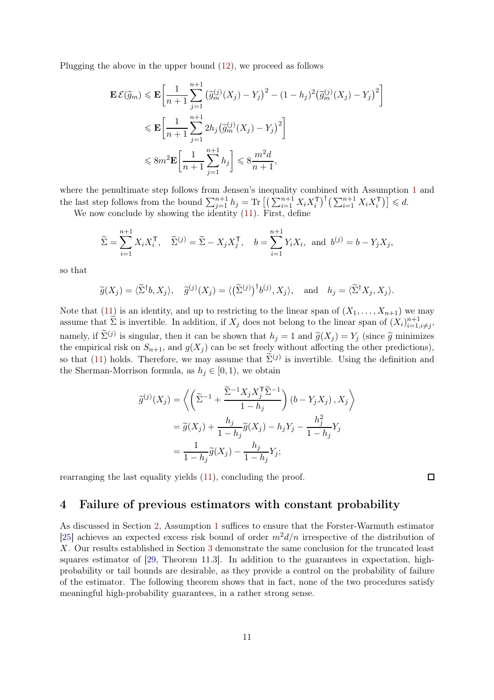Plugging the above in the upper bound [\(12\)](#page-9-2), we proceed as follows

$$
\mathbf{E}\mathcal{E}(\widehat{g}_m) \leq \mathbf{E} \bigg[ \frac{1}{n+1} \sum_{j=1}^{n+1} \left( \widetilde{g}_m^{(j)}(X_j) - Y_j \right)^2 - (1-h_j)^2 \left( \widetilde{g}_m^{(j)}(X_j) - Y_j \right)^2 \bigg] \n\leq \mathbf{E} \bigg[ \frac{1}{n+1} \sum_{j=1}^{n+1} 2h_j \left( \widetilde{g}_m^{(j)}(X_j) - Y_j \right)^2 \bigg] \n\leq 8m^2 \mathbf{E} \bigg[ \frac{1}{n+1} \sum_{j=1}^{n+1} h_j \bigg] \leq 8 \frac{m^2 d}{n+1},
$$

where the penultimate step follows from Jensen's inequality combined with Assumption [1](#page-2-0) and the last step follows from the bound  $\sum_{j=1}^{n+1} h_j = \text{Tr} \left[ \left( \sum_{i=1}^{n+1} X_i X_i^{\mathsf{T}} \right)^{\dagger} \left( \sum_{i=1}^{n+1} X_i X_i^{\mathsf{T}} \right) \right] \leqslant d.$ 

We now conclude by showing the identity [\(11\)](#page-9-0). First, define

$$
\widetilde{\Sigma} = \sum_{i=1}^{n+1} X_i X_i^{\mathsf{T}}, \quad \widetilde{\Sigma}^{(j)} = \widetilde{\Sigma} - X_j X_j^{\mathsf{T}}, \quad b = \sum_{i=1}^{n+1} Y_i X_i, \text{ and } b^{(j)} = b - Y_j X_j,
$$

so that

$$
\widetilde{g}(X_j) = \langle \widetilde{\Sigma}^{\dagger}b, X_j \rangle, \quad \widetilde{g}^{(j)}(X_j) = \langle (\widetilde{\Sigma}^{(j)})^{\dagger}b^{(j)}, X_j \rangle, \text{ and } h_j = \langle \widetilde{\Sigma}^{\dagger}X_j, X_j \rangle.
$$

Note that [\(11\)](#page-9-0) is an identity, and up to restricting to the linear span of  $(X_1, \ldots, X_{n+1})$  we may assume that  $\tilde{\Sigma}$  is invertible. In addition, if  $X_j$  does not belong to the linear span of  $(X_i)_{i=1}^{n+1}$  $\prod_{i=1,i\neq j}^{n+1}$ namely, if  $\Sigma^{(j)}$  is singular, then it can be shown that  $h_j = 1$  and  $\widetilde{g}(X_j) = Y_j$  (since  $\widetilde{g}$  minimizes the empirical risk on  $S_{n+1}$ , and  $g(X_i)$  can be set freely without affecting the other predictions), so that [\(11\)](#page-9-0) holds. Therefore, we may assume that  $\tilde{\Sigma}^{(j)}$  is invertible. Using the definition and the Sherman-Morrison formula, as  $h_j \in [0,1)$ , we obtain

$$
\widetilde{g}^{(j)}(X_j) = \left\langle \left( \widetilde{\Sigma}^{-1} + \frac{\widetilde{\Sigma}^{-1} X_j X_j^{\mathsf{T}} \widetilde{\Sigma}^{-1}}{1 - h_j} \right) (b - Y_j X_j), X_j \right\rangle
$$

$$
= \widetilde{g}(X_j) + \frac{h_j}{1 - h_j} \widetilde{g}(X_j) - h_j Y_j - \frac{h_j^2}{1 - h_j} Y_j
$$

$$
= \frac{1}{1 - h_j} \widetilde{g}(X_j) - \frac{h_j}{1 - h_j} Y_j;
$$

rearranging the last equality yields [\(11\)](#page-9-0), concluding the proof.

 $\Box$ 

## <span id="page-10-0"></span>4 Failure of previous estimators with constant probability

As discussed in Section [2,](#page-6-0) Assumption [1](#page-2-0) suffices to ensure that the Forster-Warmuth estimator [\[25\]](#page-25-10) achieves an expected excess risk bound of order  $m^2d/n$  irrespective of the distribution of X. Our results established in Section [3](#page-8-0) demonstrate the same conclusion for the truncated least squares estimator of [\[29,](#page-26-4) Theorem 11.3]. In addition to the guarantees in expectation, highprobability or tail bounds are desirable, as they provide a control on the probability of failure of the estimator. The following theorem shows that in fact, none of the two procedures satisfy meaningful high-probability guarantees, in a rather strong sense.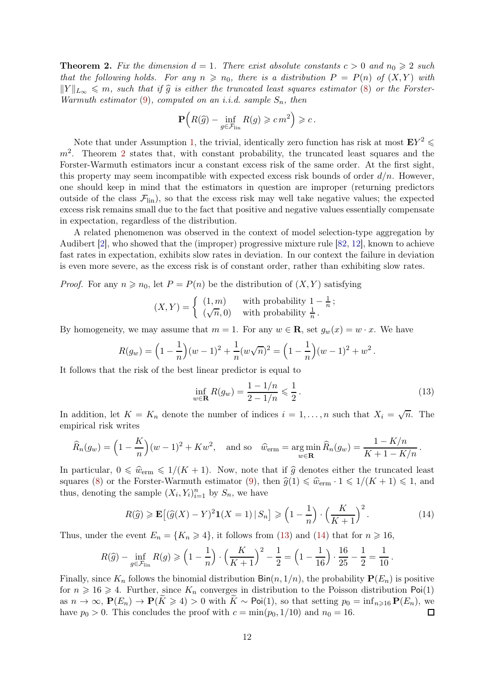<span id="page-11-0"></span>**Theorem 2.** Fix the dimension  $d = 1$ . There exist absolute constants  $c > 0$  and  $n_0 \ge 2$  such that the following holds. For any  $n \geq n_0$ , there is a distribution  $P = P(n)$  of  $(X, Y)$  with  $||Y||_{L_{\infty}} \leqslant m$ , such that if  $\widehat{g}$  is either the truncated least squares estimator [\(8\)](#page-8-1) or the Forster-Warmuth estimator  $(9)$ , computed on an i.i.d. sample  $S_n$ , then

$$
\mathbf{P}\Big(R(\widehat{g})-\inf_{g\in \mathcal{F}_{\mathrm{lin}}}R(g)\geqslant c\,m^2\Big)\geqslant c\,.
$$

Note that under Assumption [1,](#page-2-0) the trivial, identically zero function has risk at most  $EY^2 \leq$  $m<sup>2</sup>$  $m<sup>2</sup>$  $m<sup>2</sup>$ . Theorem 2 states that, with constant probability, the truncated least squares and the Forster-Warmuth estimators incur a constant excess risk of the same order. At the first sight, this property may seem incompatible with expected excess risk bounds of order  $d/n$ . However, one should keep in mind that the estimators in question are improper (returning predictors outside of the class  $\mathcal{F}_{lin}$ , so that the excess risk may well take negative values; the expected excess risk remains small due to the fact that positive and negative values essentially compensate in expectation, regardless of the distribution.

A related phenomenon was observed in the context of model selection-type aggregation by Audibert [\[2\]](#page-24-2), who showed that the (improper) progressive mixture rule [\[82,](#page-28-5) [12\]](#page-25-19), known to achieve fast rates in expectation, exhibits slow rates in deviation. In our context the failure in deviation is even more severe, as the excess risk is of constant order, rather than exhibiting slow rates.

*Proof.* For any  $n \ge n_0$ , let  $P = P(n)$  be the distribution of  $(X, Y)$  satisfying

$$
(X,Y) = \begin{cases} (1,m) & \text{with probability } 1 - \frac{1}{n};\\ (\sqrt{n}, 0) & \text{with probability } \frac{1}{n} \end{cases}
$$

By homogeneity, we may assume that  $m = 1$ . For any  $w \in \mathbf{R}$ , set  $g_w(x) = w \cdot x$ . We have

$$
R(g_w) = \left(1 - \frac{1}{n}\right)(w - 1)^2 + \frac{1}{n}(w\sqrt{n})^2 = \left(1 - \frac{1}{n}\right)(w - 1)^2 + w^2.
$$

It follows that the risk of the best linear predictor is equal to

$$
\inf_{w \in \mathbf{R}} R(g_w) = \frac{1 - 1/n}{2 - 1/n} \leq \frac{1}{2}.
$$
\n(13)

<span id="page-11-2"></span><span id="page-11-1"></span>.

In addition, let  $K = K_n$  denote the number of indices  $i = 1, ..., n$  such that  $X_i = \sqrt{n}$ . The empirical risk writes

$$
\widehat{R}_n(g_w) = \left(1 - \frac{K}{n}\right)(w - 1)^2 + Kw^2, \text{ and so } \widehat{w}_{\text{erm}} = \underset{w \in \mathbf{R}}{\arg \min} \widehat{R}_n(g_w) = \frac{1 - K/n}{K + 1 - K/n}.
$$

In particular,  $0 \leq \hat{w}_{\text{erm}} \leq 1/(K + 1)$ . Now, note that if  $\hat{g}$  denotes either the truncated least squares [\(8\)](#page-8-1) or the Forster-Warmuth estimator [\(9\)](#page-8-2), then  $\hat{g}(1) \leq \hat{w}_{\text{erm}} \cdot 1 \leq 1/(K+1) \leq 1$ , and thus, denoting the sample  $(X_i, Y_i)_{i=1}^n$  by  $S_n$ , we have

$$
R(\widehat{g}) \ge \mathbf{E}\left[ (\widehat{g}(X) - Y)^2 \mathbf{1}(X = 1) \,|\, S_n \right] \ge \left(1 - \frac{1}{n}\right) \cdot \left(\frac{K}{K+1}\right)^2. \tag{14}
$$

Thus, under the event  $E_n = \{K_n \geq 4\}$ , it follows from [\(13\)](#page-11-1) and [\(14\)](#page-11-2) that for  $n \geq 16$ ,

$$
R(\widehat{g}) - \inf_{g \in \mathcal{F}_{\text{lin}}} R(g) \geqslant \left(1 - \frac{1}{n}\right) \cdot \left(\frac{K}{K+1}\right)^2 - \frac{1}{2} = \left(1 - \frac{1}{16}\right) \cdot \frac{16}{25} - \frac{1}{2} = \frac{1}{10}
$$

Finally, since  $K_n$  follows the binomial distribution  $\text{Bin}(n, 1/n)$ , the probability  $\textbf{P}(E_n)$  is positive for  $n \geq 16 \geq 4$ . Further, since  $K_n$  converges in distribution to the Poisson distribution Poi(1) as  $n \to \infty$ ,  $\mathbf{P}(E_n) \to \mathbf{P}(\tilde{K} \geq 4) > 0$  with  $\tilde{K} \sim \text{Poi}(1)$ , so that setting  $p_0 = \inf_{n \geq 16} \mathbf{P}(E_n)$ , we have  $p_0 > 0$ . This concludes the proof with  $c = \min(p_0, 1/10)$  and  $n_0 = 16$ . have  $p_0 > 0$ . This concludes the proof with  $c = \min(p_0, 1/10)$  and  $n_0 = 16$ .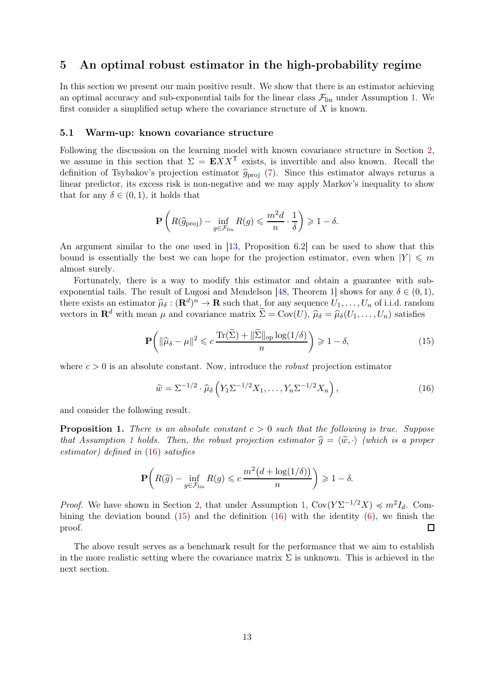# <span id="page-12-0"></span>5 An optimal robust estimator in the high-probability regime

In this section we present our main positive result. We show that there is an estimator achieving an optimal accuracy and sub-exponential tails for the linear class  $\mathcal{F}_{lin}$  under Assumption [1.](#page-2-0) We first consider a simplified setup where the covariance structure of  $X$  is known.

#### <span id="page-12-1"></span>5.1 Warm-up: known covariance structure

Following the discussion on the learning model with known covariance structure in Section [2,](#page-6-0) we assume in this section that  $\Sigma = \mathbf{E}XX^{\mathsf{T}}$  exists, is invertible and also known. Recall the definition of Tsybakov's projection estimator  $\hat{g}_{\text{proj}}$  [\(7\)](#page-7-3). Since this estimator always returns a linear predictor, its excess risk is non-negative and we may apply Markov's inequality to show that for any  $\delta \in (0,1)$ , it holds that

$$
\mathbf{P}\left(R(\widehat{g}_{\text{proj}}) - \inf_{g \in \mathcal{F}_{\text{lin}}} R(g) \leqslant \frac{m^2 d}{n} \cdot \frac{1}{\delta}\right) \geqslant 1 - \delta.
$$

An argument similar to the one used in [\[13,](#page-25-4) Proposition 6.2] can be used to show that this bound is essentially the best we can hope for the projection estimator, even when  $|Y| \leq m$ almost surely.

Fortunately, there is a way to modify this estimator and obtain a guarantee with sub-exponential tails. The result of Lugosi and Mendelson [\[48,](#page-26-15) Theorem 1] shows for any  $\delta \in (0,1)$ , there exists an estimator  $\hat{\mu}_{\delta} : (\mathbf{R}^d)^n \to \mathbf{R}$  such that, for any sequence  $U_1, \ldots, U_n$  of i.i.d. random vectors in  $\mathbf{R}^d$  with mean  $\mu$  and covariance matrix  $\widetilde{\Sigma} = \text{Cov}(U), \widehat{\mu}_{\delta} = \widehat{\mu}_{\delta}(U_1, \ldots, U_n)$  satisfies

$$
\mathbf{P}\left(\|\widehat{\mu}_{\delta} - \mu\|^2 \leqslant c \, \frac{\text{Tr}(\widetilde{\Sigma}) + \|\widetilde{\Sigma}\|_{\text{op}} \log(1/\delta)}{n}\right) \geqslant 1 - \delta,\tag{15}
$$

where  $c > 0$  is an absolute constant. Now, introduce the *robust* projection estimator

<span id="page-12-3"></span><span id="page-12-2"></span>
$$
\widetilde{w} = \Sigma^{-1/2} \cdot \widehat{\mu}_{\delta} \left( Y_1 \Sigma^{-1/2} X_1, \dots, Y_n \Sigma^{-1/2} X_n \right), \tag{16}
$$

and consider the following result.

**Proposition 1.** There is an absolute constant  $c > 0$  such that the following is true. Suppose that Assumption [1](#page-2-0) holds. Then, the robust projection estimator  $\hat{g} = \langle \tilde{w}, \cdot \rangle$  (which is a proper estimator) defined in [\(16\)](#page-12-2) satisfies

$$
\mathbf{P}\bigg(R(\widehat{g}) - \inf_{g \in \mathcal{F}_{\text{lin}}} R(g) \leqslant c \frac{m^2\big(d + \log(1/\delta)\big)}{n} \bigg) \geqslant 1 - \delta.
$$

*Proof.* We have shown in Section [2,](#page-6-0) that under Assumption [1,](#page-2-0)  $Cov(Y\Sigma^{-1/2}X) \preccurlyeq m^2I_d$ . Combining the deviation bound  $(15)$  and the definition  $(16)$  with the identity  $(6)$ , we finish the proof.  $\Box$ 

The above result serves as a benchmark result for the performance that we aim to establish in the more realistic setting where the covariance matrix  $\Sigma$  is unknown. This is achieved in the next section.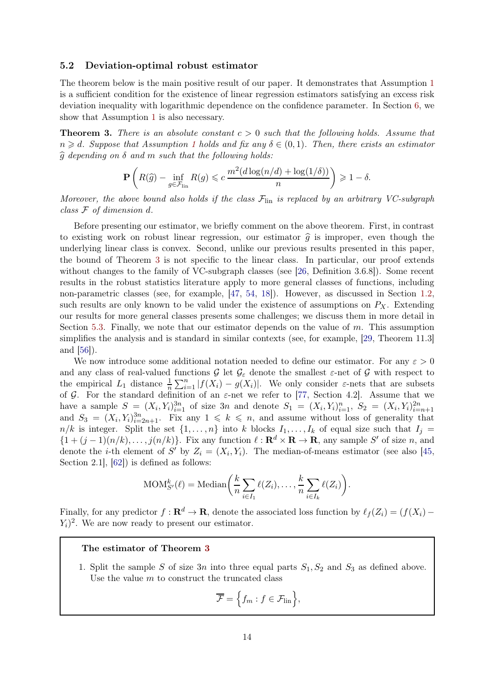#### <span id="page-13-0"></span>5.2 Deviation-optimal robust estimator

The theorem below is the main positive result of our paper. It demonstrates that Assumption [1](#page-2-0) is a sufficient condition for the existence of linear regression estimators satisfying an excess risk deviation inequality with logarithmic dependence on the confidence parameter. In Section [6,](#page-19-1) we show that Assumption [1](#page-2-0) is also necessary.

<span id="page-13-1"></span>**Theorem 3.** There is an absolute constant  $c > 0$  such that the following holds. Assume that  $n \geq d$ . Suppose that Assumption [1](#page-2-0) holds and fix any  $\delta \in (0,1)$ . Then, there exists an estimator  $\widehat{g}$  depending on  $\delta$  and m such that the following holds:

$$
\mathbf{P}\left(R(\widehat{g}) - \inf_{g \in \mathcal{F}_{\text{lin}}} R(g) \leqslant c \frac{m^2(d\log(n/d) + \log(1/\delta))}{n}\right) \geqslant 1 - \delta.
$$

Moreover, the above bound also holds if the class  $\mathcal{F}_{lin}$  is replaced by an arbitrary VC-subgraph class F of dimension d.

Before presenting our estimator, we briefly comment on the above theorem. First, in contrast to existing work on robust linear regression, our estimator  $\hat{q}$  is improper, even though the underlying linear class is convex. Second, unlike our previous results presented in this paper, the bound of Theorem [3](#page-13-1) is not specific to the linear class. In particular, our proof extends without changes to the family of VC-subgraph classes (see [\[26,](#page-25-20) Definition 3.6.8]). Some recent results in the robust statistics literature apply to more general classes of functions, including non-parametric classes (see, for example, [\[47,](#page-26-3) [54,](#page-27-6) [18\]](#page-25-14)). However, as discussed in Section [1.2,](#page-4-0) such results are only known to be valid under the existence of assumptions on  $P_X$ . Extending our results for more general classes presents some challenges; we discuss them in more detail in Section [5.3.](#page-18-0) Finally, we note that our estimator depends on the value of m. This assumption simplifies the analysis and is standard in similar contexts (see, for example, [\[29,](#page-26-4) Theorem 11.3] and [\[56\]](#page-27-14)).

We now introduce some additional notation needed to define our estimator. For any  $\varepsilon > 0$ and any class of real-valued functions  $\mathcal G$  let  $\mathcal G_\varepsilon$  denote the smallest  $\varepsilon$ -net of  $\mathcal G$  with respect to the empirical  $L_1$  distance  $\frac{1}{n} \sum_{i=1}^n |f(X_i) - g(X_i)|$ . We only consider  $\varepsilon$ -nets that are subsets of G. For the standard definition of an  $\varepsilon$ -net we refer to [\[77,](#page-28-6) Section 4.2]. Assume that we have a sample  $S = (X_i, Y_i)_{i=1}^{3n}$  of size 3n and denote  $S_1 = (X_i, Y_i)_{i=1}^n$ ,  $S_2 = (X_i, Y_i)_{i=n+1}^{2n}$ and  $S_3 = (X_i, Y_i)_{i=2n+1}^{3n}$ . Fix any  $1 \leq k \leq n$ , and assume without loss of generality that  $n/k$  is integer. Split the set  $\{1,\ldots,n\}$  into k blocks  $I_1,\ldots,I_k$  of equal size such that  $I_j =$  $\{1+(j-1)(n/k),\ldots,j(n/k)\}\.$  Fix any function  $\ell:\mathbf{R}^d\times\mathbf{R}\to\mathbf{R}$ , any sample S' of size n, and denote the *i*-th element of S' by  $Z_i = (X_i, Y_i)$ . The median-of-means estimator (see also [\[45,](#page-26-7) Section 2.1], [\[62\]](#page-27-17)) is defined as follows:

$$
\text{MOM}_{S'}^{k}(\ell) = \text{Median}\bigg(\frac{k}{n}\sum_{i\in I_1} \ell(Z_i),\ldots,\frac{k}{n}\sum_{i\in I_k} \ell(Z_i)\bigg).
$$

Finally, for any predictor  $f: \mathbf{R}^d \to \mathbf{R}$ , denote the associated loss function by  $\ell_f(Z_i) = (f(X_i) - f(X_i))$  $(Y_i)^2$ . We are now ready to present our estimator.

#### The estimator of Theorem [3](#page-13-1)

1. Split the sample S of size 3n into three equal parts  $S_1, S_2$  and  $S_3$  as defined above. Use the value  $m$  to construct the truncated class

$$
\overline{\mathcal{F}} = \left\{ f_m : f \in \mathcal{F}_{\text{lin}} \right\},\
$$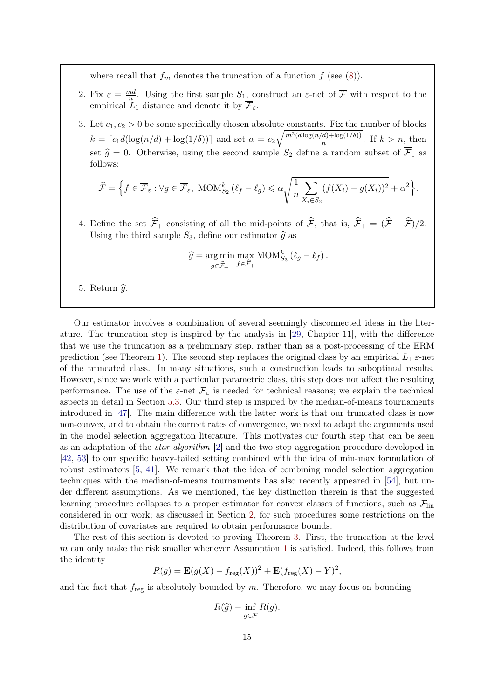where recall that  $f_m$  denotes the truncation of a function  $f$  (see [\(8\)](#page-8-1)).

- 2. Fix  $\varepsilon = \frac{md}{n}$ . Using the first sample  $S_1$ , construct an  $\varepsilon$ -net of  $\overline{\mathcal{F}}$  with respect to the empirical  $L_1$  distance and denote it by  $\overline{\mathcal{F}}_{\varepsilon}$ .
- 3. Let  $c_1, c_2 > 0$  be some specifically chosen absolute constants. Fix the number of blocks  $k = \lceil c_1 d(\log(n/d) + \log(1/\delta)) \rceil$  and set  $\alpha = c_2 \sqrt{\frac{m^2(d \log(n/d) + \log(1/\delta))}{n}}$  $\frac{a_j + \log(1/\delta)}{n}$ . If  $k > n$ , then set  $\hat{g} = 0$ . Otherwise, using the second sample  $S_2$  define a random subset of  $\overline{\mathcal{F}}_{\varepsilon}$  as follows:

$$
\widehat{\mathcal{F}} = \Big\{ f \in \overline{\mathcal{F}}_{\varepsilon} : \forall g \in \overline{\mathcal{F}}_{\varepsilon}, \text{ MOM}_{S_2}^k \left( \ell_f - \ell_g \right) \leqslant \alpha \sqrt{\frac{1}{n} \sum_{X_i \in S_2} (f(X_i) - g(X_i))^2} + \alpha^2 \Big\}.
$$

4. Define the set  $\hat{\mathcal{F}}_+$  consisting of all the mid-points of  $\hat{\mathcal{F}}_+$ , that is,  $\hat{\mathcal{F}}_+ = (\hat{\mathcal{F}} + \hat{\mathcal{F}})/2$ . Using the third sample  $S_3$ , define our estimator  $\hat{g}$  as

$$
\widehat{g} = \underset{g \in \widehat{\mathcal{F}}_+}{\arg \min} \max_{f \in \widehat{\mathcal{F}}_+} \text{MOM}_{S_3}^k \left( \ell_g - \ell_f \right).
$$

5. Return  $\widehat{g}$ .

Our estimator involves a combination of several seemingly disconnected ideas in the literature. The truncation step is inspired by the analysis in [\[29,](#page-26-4) Chapter 11], with the difference that we use the truncation as a preliminary step, rather than as a post-processing of the ERM prediction (see Theorem [1\)](#page-9-3). The second step replaces the original class by an empirical  $L_1$   $\varepsilon$ -net of the truncated class. In many situations, such a construction leads to suboptimal results. However, since we work with a particular parametric class, this step does not affect the resulting performance. The use of the  $\varepsilon$ -net  $\overline{\mathcal{F}}_{\varepsilon}$  is needed for technical reasons; we explain the technical aspects in detail in Section [5.3.](#page-18-0) Our third step is inspired by the median-of-means tournaments introduced in [\[47\]](#page-26-3). The main difference with the latter work is that our truncated class is now non-convex, and to obtain the correct rates of convergence, we need to adapt the arguments used in the model selection aggregation literature. This motivates our fourth step that can be seen as an adaptation of the star algorithm [\[2\]](#page-24-2) and the two-step aggregation procedure developed in [\[42,](#page-26-5) [53\]](#page-27-5) to our specific heavy-tailed setting combined with the idea of min-max formulation of robust estimators [\[5,](#page-24-0) [41\]](#page-26-6). We remark that the idea of combining model selection aggregation techniques with the median-of-means tournaments has also recently appeared in [\[54\]](#page-27-6), but under different assumptions. As we mentioned, the key distinction therein is that the suggested learning procedure collapses to a proper estimator for convex classes of functions, such as  $\mathcal{F}_{lin}$ considered in our work; as discussed in Section [2,](#page-6-0) for such procedures some restrictions on the distribution of covariates are required to obtain performance bounds.

The rest of this section is devoted to proving Theorem [3.](#page-13-1) First, the truncation at the level m can only make the risk smaller whenever Assumption [1](#page-2-0) is satisfied. Indeed, this follows from the identity

$$
R(g) = \mathbf{E}(g(X) - f_{\text{reg}}(X))^2 + \mathbf{E}(f_{\text{reg}}(X) - Y)^2,
$$

and the fact that  $f_{reg}$  is absolutely bounded by m. Therefore, we may focus on bounding

$$
R(\widehat{g}) - \inf_{g \in \overline{\mathcal{F}}} R(g).
$$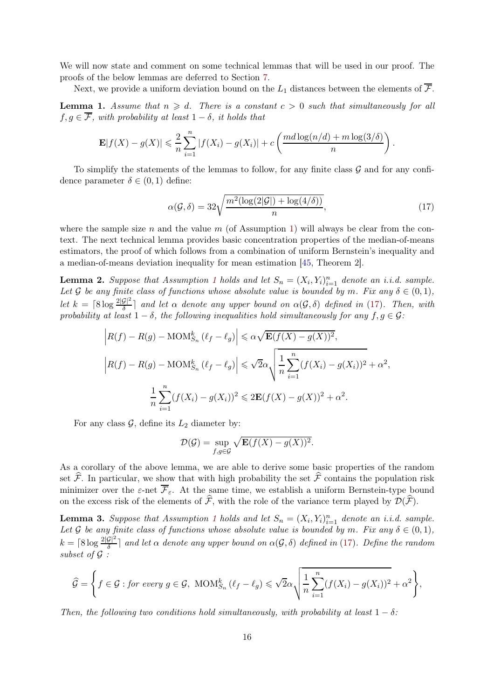We will now state and comment on some technical lemmas that will be used in our proof. The proofs of the below lemmas are deferred to Section [7.](#page-21-0)

<span id="page-15-1"></span>Next, we provide a uniform deviation bound on the  $L_1$  distances between the elements of  $\overline{\mathcal{F}}$ . **Lemma 1.** Assume that  $n \geq d$ . There is a constant  $c > 0$  such that simultaneously for all  $f, g \in \overline{\mathcal{F}}$ , with probability at least  $1 - \delta$ , it holds that

$$
\mathbf{E}|f(X) - g(X)| \leqslant \frac{2}{n} \sum_{i=1}^{n} |f(X_i) - g(X_i)| + c \left( \frac{md \log(n/d) + m \log(3/\delta)}{n} \right).
$$

To simplify the statements of the lemmas to follow, for any finite class  $G$  and for any confidence parameter  $\delta \in (0,1)$  define:

<span id="page-15-0"></span>
$$
\alpha(\mathcal{G}, \delta) = 32\sqrt{\frac{m^2(\log(2|\mathcal{G}|) + \log(4/\delta))}{n}},\tag{17}
$$

where the sample size n and the value m (of Assumption [1\)](#page-2-0) will always be clear from the context. The next technical lemma provides basic concentration properties of the median-of-means estimators, the proof of which follows from a combination of uniform Bernstein's inequality and a median-of-means deviation inequality for mean estimation [\[45,](#page-26-7) Theorem 2].

<span id="page-15-2"></span>**Lemma 2.** Suppose that Assumption [1](#page-2-0) holds and let  $S_n = (X_i, Y_i)_{i=1}^n$  denote an i.i.d. sample. Let G be any finite class of functions whose absolute value is bounded by m. Fix any  $\delta \in (0,1)$ , let  $k = \lceil 8 \log \frac{2|\mathcal{G}|^2}{\delta} \rceil$  and let  $\alpha$  denote any upper bound on  $\alpha(\mathcal{G}, \delta)$  defined in [\(17\)](#page-15-0). Then, with probability at least  $1 - \delta$ , the following inequalities hold simultaneously for any  $f, g \in \mathcal{G}$ :

$$
\left| R(f) - R(g) - \text{MOM}_{S_n}^k \left( \ell_f - \ell_g \right) \right| \leq \alpha \sqrt{\mathbf{E}(f(X) - g(X))^2},
$$
  

$$
\left| R(f) - R(g) - \text{MOM}_{S_n}^k \left( \ell_f - \ell_g \right) \right| \leq \sqrt{2}\alpha \sqrt{\frac{1}{n} \sum_{i=1}^n (f(X_i) - g(X_i))^2 + \alpha^2},
$$
  

$$
\frac{1}{n} \sum_{i=1}^n (f(X_i) - g(X_i))^2 \leq 2\mathbf{E}(f(X) - g(X))^2 + \alpha^2.
$$

For any class  $\mathcal{G}$ , define its  $L_2$  diameter by:

$$
\mathcal{D}(\mathcal{G}) = \sup_{f,g \in \mathcal{G}} \sqrt{\mathbf{E}(f(X) - g(X))^2}.
$$

As a corollary of the above lemma, we are able to derive some basic properties of the random set  $\hat{\mathcal{F}}$ . In particular, we show that with high probability the set  $\hat{\mathcal{F}}$  contains the population risk minimizer over the  $\varepsilon$ -net  $\overline{\mathcal{F}}_{\varepsilon}$ . At the same time, we establish a uniform Bernstein-type bound on the excess risk of the elements of  $\widehat{\mathcal{F}}$ , with the role of the variance term played by  $\mathcal{D}(\widehat{\mathcal{F}})$ .

<span id="page-15-3"></span>**Lemma 3.** Suppose that Assumption [1](#page-2-0) holds and let  $S_n = (X_i, Y_i)_{i=1}^n$  denote an i.i.d. sample. Let G be any finite class of functions whose absolute value is bounded by m. Fix any  $\delta \in (0,1)$ ,  $k = \lceil 8 \log \frac{2|\mathcal{G}|^2}{\delta} \rceil$  and let  $\alpha$  denote any upper bound on  $\alpha(\mathcal{G}, \delta)$  defined in [\(17\)](#page-15-0). Define the random subset of  $\mathcal G$ :

$$
\widehat{\mathcal{G}} = \left\{ f \in \mathcal{G} : \text{for every } g \in \mathcal{G}, \text{ MOM}_{S_n}^k \left( \ell_f - \ell_g \right) \leq \sqrt{2\alpha} \sqrt{\frac{1}{n} \sum_{i=1}^n (f(X_i) - g(X_i))^2 + \alpha^2} \right\},
$$

Then, the following two conditions hold simultaneously, with probability at least  $1 - \delta$ :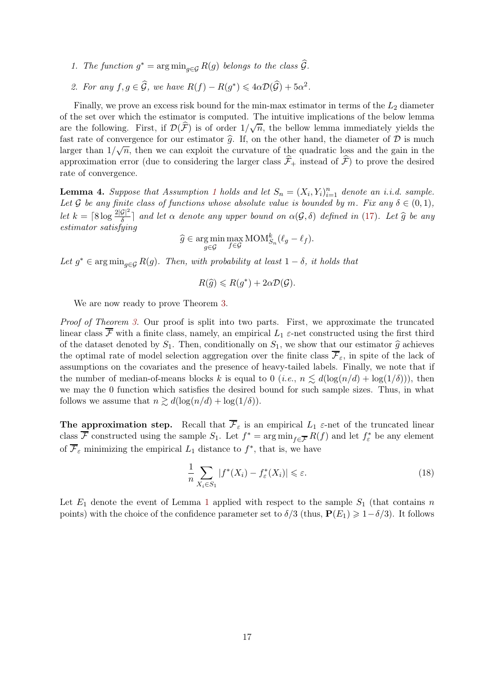- 1. The function  $g^* = \arg \min_{g \in \mathcal{G}} R(g)$  belongs to the class  $\mathcal{G}$ .
- 2. For any  $f, g \in \widehat{G}$ , we have  $R(f) R(g^*) \leq 4\alpha \mathcal{D}(\widehat{G}) + 5\alpha^2$ .

Finally, we prove an excess risk bound for the min-max estimator in terms of the  $L_2$  diameter of the set over which the estimator is computed. The intuitive implications of the below lemma are the following. First, if  $\mathcal{D}(\widehat{F})$  is of order  $1/\sqrt{n}$ , the bellow lemma immediately yields the fast rate of convergence for our estimator  $\hat{g}$ . If, on the other hand, the diameter of  $D$  is much larger than  $1/\sqrt{n}$ , then we can exploit the curvature of the quadratic loss and the gain in the approximation error (due to considering the larger class  $\widehat{\mathcal{F}}_+$  instead of  $\widehat{\mathcal{F}}$ ) to prove the desired rate of convergence.

<span id="page-16-1"></span>**Lemma 4.** Suppose that Assumption [1](#page-2-0) holds and let  $S_n = (X_i, Y_i)_{i=1}^n$  denote an i.i.d. sample. Let G be any finite class of functions whose absolute value is bounded by m. Fix any  $\delta \in (0,1)$ , let  $k = \lceil 8 \log \frac{2|\mathcal{G}|^2}{\delta} \rceil$  and let  $\alpha$  denote any upper bound on  $\alpha(\mathcal{G}, \delta)$  defined in [\(17\)](#page-15-0). Let  $\widehat{g}$  be any estimator satisfying

$$
\widehat{g} \in \underset{g \in \mathcal{G}}{\arg \min} \max_{f \in \mathcal{G}} \text{MOM}_{S_n}^k(\ell_g - \ell_f).
$$

Let  $g^* \in \arg\min_{g \in \mathcal{G}} R(g)$ . Then, with probability at least  $1 - \delta$ , it holds that

$$
R(\widehat{g}) \leqslant R(g^*) + 2\alpha \mathcal{D}(\mathcal{G}).
$$

We are now ready to prove Theorem [3.](#page-13-1)

Proof of Theorem [3.](#page-13-1) Our proof is split into two parts. First, we approximate the truncated linear class  $\overline{\mathcal{F}}$  with a finite class, namely, an empirical  $L_1$   $\varepsilon$ -net constructed using the first third of the dataset denoted by  $S_1$ . Then, conditionally on  $S_1$ , we show that our estimator  $\hat{g}$  achieves the optimal rate of model selection aggregation over the finite class  $\overline{\mathcal{F}}_{\varepsilon}$ , in spite of the lack of assumptions on the covariates and the presence of heavy-tailed labels. Finally, we note that if the number of median-of-means blocks k is equal to 0 (*i.e.*,  $n \leq d(\log(n/d) + \log(1/\delta))$ ), then we may the 0 function which satisfies the desired bound for such sample sizes. Thus, in what follows we assume that  $n \gtrsim d(\log(n/d) + \log(1/\delta)).$ 

The approximation step. Recall that  $\overline{\mathcal{F}}_{\varepsilon}$  is an empirical  $L_1$   $\varepsilon$ -net of the truncated linear class F constructed using the sample  $S_1$ . Let  $f^* = \arg \min_{f \in \overline{\mathcal{F}}} R(f)$  and let  $f^*_\varepsilon$  be any element of  $\mathcal{F}_{\varepsilon}$  minimizing the empirical  $L_1$  distance to  $f^*$ , that is, we have

<span id="page-16-0"></span>
$$
\frac{1}{n} \sum_{X_i \in S_1} |f^*(X_i) - f^*_\varepsilon(X_i)| \leq \varepsilon. \tag{18}
$$

Let  $E_1$  $E_1$  denote the event of Lemma 1 applied with respect to the sample  $S_1$  (that contains n points) with the choice of the confidence parameter set to  $\delta/3$  (thus,  $P(E_1) \geq 1-\delta/3$ ). It follows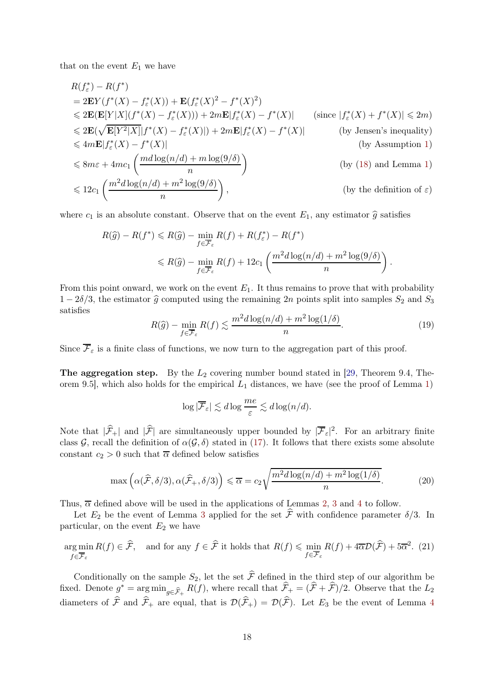that on the event  $E_1$  we have

$$
R(f_{\varepsilon}^{*}) - R(f^{*})
$$
  
\n
$$
= 2\mathbf{E}Y(f^{*}(X) - f_{\varepsilon}^{*}(X)) + \mathbf{E}(f_{\varepsilon}^{*}(X)^{2} - f^{*}(X)^{2})
$$
  
\n
$$
\leq 2\mathbf{E}(\mathbf{E}[Y|X](f^{*}(X) - f_{\varepsilon}^{*}(X))) + 2m\mathbf{E}|f_{\varepsilon}^{*}(X) - f^{*}(X)| \qquad \text{(since } |f_{\varepsilon}^{*}(X) + f^{*}(X)| \leq 2m)
$$
  
\n
$$
\leq 2\mathbf{E}(\sqrt{\mathbf{E}[Y^{2}|X]}|f^{*}(X) - f_{\varepsilon}^{*}(X)|) + 2m\mathbf{E}|f_{\varepsilon}^{*}(X) - f^{*}(X)| \qquad \text{(by Jensen's inequality)}
$$
  
\n
$$
\leq 4m\mathbf{E}|f_{\varepsilon}^{*}(X) - f^{*}(X)| \qquad \text{(by Assumption 1)}
$$
  
\n
$$
\leq 8m\varepsilon + 4mc_{1} \left( \frac{md\log(n/d) + m\log(9/\delta)}{n} \right) \qquad \text{(by (18) and Lemma 1)}
$$
  
\n
$$
\leq 12c_{1} \left( \frac{m^{2}d\log(n/d) + m^{2}\log(9/\delta)}{n} \right), \qquad \text{(by the definition of } \varepsilon)
$$

where  $c_1$  is an absolute constant. Observe that on the event  $E_1$ , any estimator  $\hat{g}$  satisfies

$$
R(\hat{g}) - R(f^*) \le R(\hat{g}) - \min_{f \in \overline{\mathcal{F}}_{\varepsilon}} R(f) + R(f^*) - R(f^*)
$$
  

$$
\le R(\hat{g}) - \min_{f \in \overline{\mathcal{F}}_{\varepsilon}} R(f) + 12c_1 \left( \frac{m^2 d \log(n/d) + m^2 \log(9/\delta)}{n} \right).
$$

From this point onward, we work on the event  $E_1$ . It thus remains to prove that with probability  $1-2\delta/3$ , the estimator  $\hat{g}$  computed using the remaining 2n points split into samples  $S_2$  and  $S_3$ satisfies

$$
R(\hat{g}) - \min_{f \in \overline{\mathcal{F}}_{\varepsilon}} R(f) \lesssim \frac{m^2 d \log(n/d) + m^2 \log(1/\delta)}{n}.
$$
 (19)

Since  $\overline{\mathcal{F}}_{\varepsilon}$  is a finite class of functions, we now turn to the aggregation part of this proof.

The aggregation step. By the  $L_2$  covering number bound stated in [\[29,](#page-26-4) Theorem 9.4, Theorem 9.5, which also holds for the empirical  $L_1$  distances, we have (see the proof of Lemma [1\)](#page-15-1)

<span id="page-17-2"></span><span id="page-17-1"></span><span id="page-17-0"></span>
$$
\log |\overline{\mathcal{F}}_{\varepsilon}| \lesssim d \log \frac{me}{\varepsilon} \lesssim d \log (n/d).
$$

Note that  $|\hat{\mathcal{F}}_+|$  and  $|\hat{\mathcal{F}}|$  are simultaneously upper bounded by  $|\overline{\mathcal{F}}_{\varepsilon}|^2$ . For an arbitrary finite class G, recall the definition of  $\alpha(\mathcal{G},\delta)$  stated in [\(17\)](#page-15-0). It follows that there exists some absolute constant  $c_2 > 0$  such that  $\overline{\alpha}$  defined below satisfies

$$
\max\left(\alpha(\widehat{\mathcal{F}}, \delta/3), \alpha(\widehat{\mathcal{F}}_+, \delta/3)\right) \leq \overline{\alpha} = c_2 \sqrt{\frac{m^2 d \log(n/d) + m^2 \log(1/\delta)}{n}}.\tag{20}
$$

Thus,  $\overline{\alpha}$  defined above will be used in the applications of Lemmas [2,](#page-15-2) [3](#page-15-3) and [4](#page-16-1) to follow.

Let  $E_2$  be the event of Lemma [3](#page-15-3) applied for the set  $\hat{\mathcal{F}}$  with confidence parameter  $\delta/3$ . In particular, on the event  $E_2$  we have

$$
\underset{f \in \overline{\mathcal{F}}_{\varepsilon}}{\arg \min} R(f) \in \widehat{\mathcal{F}}, \quad \text{and for any } f \in \widehat{\mathcal{F}} \text{ it holds that } R(f) \leqslant \min_{f \in \overline{\mathcal{F}}_{\varepsilon}} R(f) + 4\overline{\alpha}\mathcal{D}(\widehat{\mathcal{F}}) + 5\overline{\alpha}^2. \tag{21}
$$

Conditionally on the sample  $S_2$ , let the set  $\hat{\mathcal{F}}$  defined in the third step of our algorithm be fixed. Denote  $g^* = \arg \min_{g \in \widehat{\mathcal{F}}_+} R(f)$ , where recall that  $\mathcal{F}_+ = (\mathcal{F} + \mathcal{F})/2$ . Observe that the  $L_2$ diameters of  $\hat{\mathcal{F}}$  and  $\hat{\mathcal{F}}_+$  are equal, that is  $\mathcal{D}(\hat{\mathcal{F}}_+) = \mathcal{D}(\hat{\mathcal{F}})$ . Let  $E_3$  be the event of Lemma [4](#page-16-1)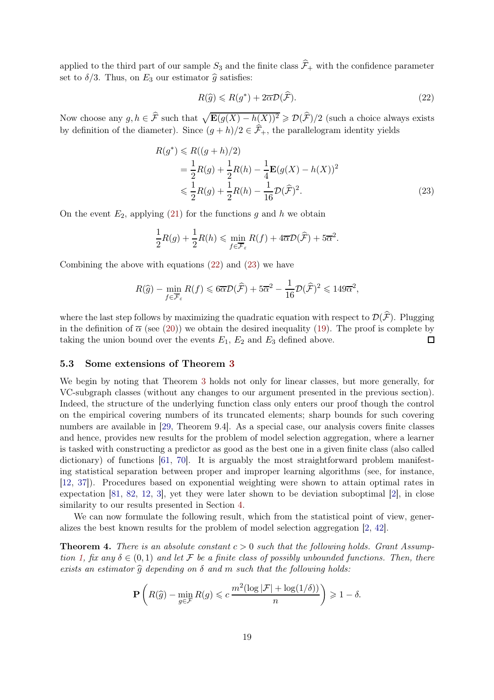applied to the third part of our sample  $S_3$  and the finite class  $\widehat{\mathcal{F}}_+$  with the confidence parameter set to  $\delta/3$ . Thus, on  $E_3$  our estimator  $\hat{g}$  satisfies:

<span id="page-18-2"></span><span id="page-18-1"></span>
$$
R(\hat{g}) \le R(g^*) + 2\overline{\alpha}\mathcal{D}(\hat{\mathcal{F}}). \tag{22}
$$

Now choose any  $g, h \in \hat{\mathcal{F}}$  such that  $\sqrt{\mathbf{E}(g(X) - h(X))^2} \geqslant \mathcal{D}(\hat{\mathcal{F}})/2$  (such a choice always exists by definition of the diameter). Since  $(g+h)/2 \in \hat{\mathcal{F}}_+$ , the parallelogram identity yields

$$
R(g^*) \le R((g+h)/2)
$$
  
=  $\frac{1}{2}R(g) + \frac{1}{2}R(h) - \frac{1}{4}\mathbf{E}(g(X) - h(X))^2$   
 $\le \frac{1}{2}R(g) + \frac{1}{2}R(h) - \frac{1}{16}\mathcal{D}(\widehat{\mathcal{F}})^2.$  (23)

On the event  $E_2$ , applying [\(21\)](#page-17-0) for the functions g and h we obtain

$$
\frac{1}{2}R(g) + \frac{1}{2}R(h) \leqslant \min_{f \in \overline{\mathcal{F}}_{\varepsilon}} R(f) + 4\overline{\alpha}\mathcal{D}(\widehat{\mathcal{F}}) + 5\overline{\alpha}^{2}.
$$

Combining the above with equations [\(22\)](#page-18-1) and [\(23\)](#page-18-2) we have

$$
R(\widehat{g}) - \min_{f \in \overline{\mathcal{F}}_{\varepsilon}} R(f) \leqslant 6\overline{\alpha}\mathcal{D}(\widehat{\mathcal{F}}) + 5\overline{\alpha}^2 - \frac{1}{16}\mathcal{D}(\widehat{\mathcal{F}})^2 \leqslant 149\overline{\alpha}^2,
$$

where the last step follows by maximizing the quadratic equation with respect to  $\mathcal{D}(\widehat{F})$ . Plugging in the definition of  $\bar{\alpha}$  (see [\(20\)](#page-17-1)) we obtain the desired inequality [\(19\)](#page-17-2). The proof is complete by taking the union bound over the events  $E_1, E_2$  and  $E_3$  defined above.  $\Box$ 

#### <span id="page-18-0"></span>5.3 Some extensions of Theorem [3](#page-13-1)

We begin by noting that Theorem [3](#page-13-1) holds not only for linear classes, but more generally, for VC-subgraph classes (without any changes to our argument presented in the previous section). Indeed, the structure of the underlying function class only enters our proof though the control on the empirical covering numbers of its truncated elements; sharp bounds for such covering numbers are available in [\[29,](#page-26-4) Theorem 9.4]. As a special case, our analysis covers finite classes and hence, provides new results for the problem of model selection aggregation, where a learner is tasked with constructing a predictor as good as the best one in a given finite class (also called dictionary) of functions [\[61,](#page-27-22) [70\]](#page-27-8). It is arguably the most straightforward problem manifesting statistical separation between proper and improper learning algorithms (see, for instance, [\[12,](#page-25-19) [37\]](#page-26-19)). Procedures based on exponential weighting were shown to attain optimal rates in expectation [\[81,](#page-28-7) [82,](#page-28-5) [12,](#page-25-19) [3\]](#page-24-5), yet they were later shown to be deviation suboptimal [\[2\]](#page-24-2), in close similarity to our results presented in Section [4.](#page-10-0)

We can now formulate the following result, which from the statistical point of view, generalizes the best known results for the problem of model selection aggregation [\[2,](#page-24-2) [42\]](#page-26-5).

<span id="page-18-3"></span>**Theorem 4.** There is an absolute constant  $c > 0$  such that the following holds. Grant Assump-tion [1,](#page-2-0) fix any  $\delta \in (0,1)$  and let F be a finite class of possibly unbounded functions. Then, there exists an estimator  $\hat{q}$  depending on  $\delta$  and m such that the following holds:

$$
\mathbf{P}\left(R(\widehat{g}) - \min_{g \in \mathcal{F}} R(g) \leqslant c \frac{m^2(\log |\mathcal{F}| + \log(1/\delta))}{n}\right) \geqslant 1 - \delta.
$$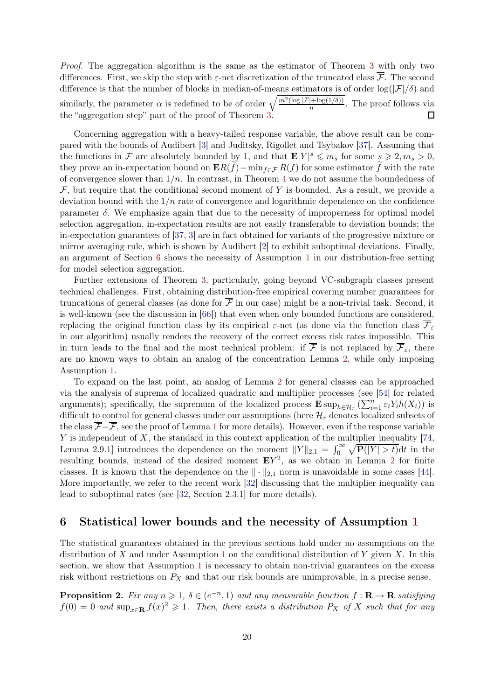Proof. The aggregation algorithm is the same as the estimator of Theorem [3](#page-13-1) with only two differences. First, we skip the step with  $\varepsilon$ -net discretization of the truncated class  $\overline{\mathcal{F}}$ . The second difference is that the number of blocks in median-of-means estimators is of order  $\log(|\mathcal{F}|/\delta)$  and similarly, the parameter  $\alpha$  is redefined to be of order  $\sqrt{\frac{m^2(\log |\mathcal{F}| + \log(1/\delta))}{n}}$ . The proof follows via the "aggregation step" part of the proof of Theorem [3.](#page-13-1)  $\Box$ 

Concerning aggregation with a heavy-tailed response variable, the above result can be compared with the bounds of Audibert [\[3\]](#page-24-5) and Juditsky, Rigollet and Tsybakov [\[37\]](#page-26-19). Assuming that the functions in F are absolutely bounded by 1, and that  $\mathbf{E}|Y|^s \leqslant m_s$  for some  $s \geqslant 2, m_s > 0$ , they prove an in-expectation bound on  $\mathbf{E}R(f)-\min_{f\in\mathcal{F}}R(f)$  for some estimator f with the rate of convergence slower than  $1/n$ . In contrast, in Theorem [4](#page-18-3) we do not assume the boundedness of  $\mathcal F$ , but require that the conditional second moment of Y is bounded. As a result, we provide a deviation bound with the  $1/n$  rate of convergence and logarithmic dependence on the confidence parameter  $\delta$ . We emphasize again that due to the necessity of improperness for optimal model selection aggregation, in-expectation results are not easily transferable to deviation bounds; the in-expectation guarantees of [\[37,](#page-26-19) [3\]](#page-24-5) are in fact obtained for variants of the progressive mixture or mirror averaging rule, which is shown by Audibert [\[2\]](#page-24-2) to exhibit suboptimal deviations. Finally, an argument of Section [6](#page-19-1) shows the necessity of Assumption [1](#page-2-0) in our distribution-free setting for model selection aggregation.

Further extensions of Theorem [3,](#page-13-1) particularly, going beyond VC-subgraph classes present technical challenges. First, obtaining distribution-free empirical covering number guarantees for truncations of general classes (as done for  $\overline{\mathcal{F}}$  in our case) might be a non-trivial task. Second, it is well-known (see the discussion in [\[66\]](#page-27-7)) that even when only bounded functions are considered, replacing the original function class by its empirical  $\varepsilon$ -net (as done via the function class  $\overline{\mathcal{F}}_{\varepsilon}$ in our algorithm) usually renders the recovery of the correct excess risk rates impossible. This in turn leads to the final and the most technical problem: if  $\overline{\mathcal{F}}$  is not replaced by  $\overline{\mathcal{F}}_{\varepsilon}$ , there are no known ways to obtain an analog of the concentration Lemma [2,](#page-15-2) while only imposing Assumption [1.](#page-2-0)

To expand on the last point, an analog of Lemma [2](#page-15-2) for general classes can be approached via the analysis of suprema of localized quadratic and multiplier processes (see [\[54\]](#page-27-6) for related arguments); specifically, the supremum of the localized process  $\mathbf{E} \sup_{h \in \mathcal{H}_r} (\sum_{i=1}^n \varepsilon_i Y_i h(X_i))$  is difficult to control for general classes under our assumptions (here  $\mathcal{H}_r$  denotes localized subsets of the class  $\overline{\mathcal{F}}-\overline{\mathcal{F}}$ , see the proof of Lemma [1](#page-15-1) for more details). However, even if the response variable Y is independent of X, the standard in this context application of the multiplier inequality  $[74,$ Lemma 2.9.1] introduces the dependence on the moment  $||Y||_{2,1} = \int_0^\infty \sqrt{\mathbf{P}(|Y| > t)} dt$  in the resulting bounds, instead of the desired moment  $EY^2$  $EY^2$ , as we obtain in Lemma 2 for finite classes. It is known that the dependence on the  $\|\cdot\|_{2,1}$  norm is unavoidable in some cases [\[44\]](#page-26-20). More importantly, we refer to the recent work [\[32\]](#page-26-21) discussing that the multiplier inequality can lead to suboptimal rates (see [\[32,](#page-26-21) Section 2.3.1] for more details).

## <span id="page-19-1"></span>6 Statistical lower bounds and the necessity of Assumption [1](#page-2-0)

The statistical guarantees obtained in the previous sections hold under no assumptions on the distribution of X and under Assumption [1](#page-2-0) on the conditional distribution of Y given X. In this section, we show that Assumption [1](#page-2-0) is necessary to obtain non-trivial guarantees on the excess risk without restrictions on  $P_X$  and that our risk bounds are unimprovable, in a precise sense.

<span id="page-19-0"></span>**Proposition 2.** Fix any  $n \ge 1$ ,  $\delta \in (e^{-n}, 1)$  and any measurable function  $f : \mathbf{R} \to \mathbf{R}$  satisfying  $f(0) = 0$  and  $\sup_{x \in \mathbf{R}} f(x)^2 \geq 1$ . Then, there exists a distribution  $P_X$  of X such that for any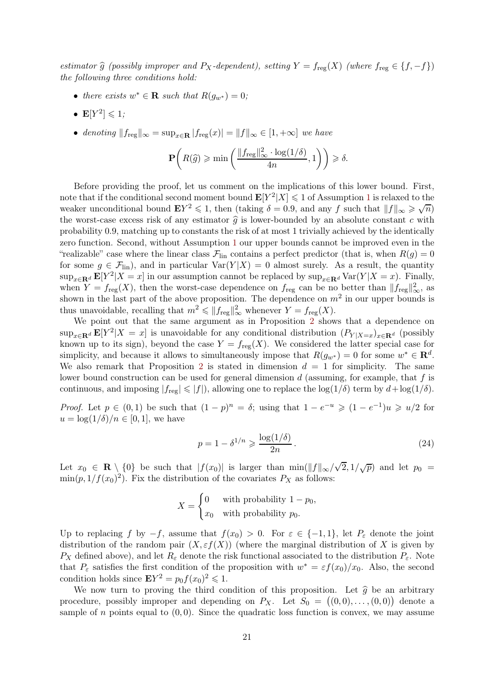estimator  $\widehat{g}$  (possibly improper and P<sub>X</sub>-dependent), setting  $Y = f_{reg}(X)$  (where  $f_{reg} \in \{f, -f\}$ ) the following three conditions hold:

- there exists  $w^* \in \mathbf{R}$  such that  $R(g_{w^*}) = 0$ ;
- $\mathbf{E}[Y^2] \leqslant 1;$
- denoting  $||f_{reg}||_{\infty} = \sup_{x \in \mathbf{R}} |f_{reg}(x)| = ||f||_{\infty} \in [1, +\infty]$  we have

$$
\mathbf{P}\bigg(R(\widehat{g})\geqslant \min\left(\frac{\|f_{\mathrm{reg}}\|_{\infty}^2\cdot \log(1/\delta)}{4n},1\right)\bigg)\geqslant \delta.
$$

Before providing the proof, let us comment on the implications of this lower bound. First, note that if the conditional second moment bound  $\mathbf{E}[Y^2|X] \leq 1$  $\mathbf{E}[Y^2|X] \leq 1$  of Assumption 1 is relaxed to the weaker unconditional bound  $EY^2 \leq 1$ , then (taking  $\delta = 0.9$ , and any f such that  $||f||_{\infty} \geq \sqrt{n}$ ) the worst-case excess risk of any estimator  $\hat{g}$  is lower-bounded by an absolute constant c with probability 0.9, matching up to constants the risk of at most 1 trivially achieved by the identically zero function. Second, without Assumption [1](#page-2-0) our upper bounds cannot be improved even in the "realizable" case where the linear class  $\mathcal{F}_{lin}$  contains a perfect predictor (that is, when  $R(g) = 0$ for some  $g \in \mathcal{F}_{lin}$ , and in particular  $Var(Y|X) = 0$  almost surely. As a result, the quantity  $\sup_{x \in \mathbf{R}^d} \mathbf{E}[Y^2 | X = x]$  in our assumption cannot be replaced by  $\sup_{x \in \mathbf{R}^d} \text{Var}(Y | X = x)$ . Finally, when  $Y = f_{\text{reg}}(X)$ , then the worst-case dependence on  $f_{\text{reg}}$  can be no better than  $||f_{\text{reg}}||_{\infty}^2$ , as shown in the last part of the above proposition. The dependence on  $m^2$  in our upper bounds is thus unavoidable, recalling that  $m^2 \leq \|f_{\text{reg}}\|_{\infty}^2$  whenever  $Y = f_{\text{reg}}(X)$ .

We point out that the same argument as in Proposition [2](#page-19-0) shows that a dependence on  $\sup_{x \in \mathbf{R}^d} \mathbf{E}[Y^2 | X = x]$  is unavoidable for any conditional distribution  $(P_{Y | X=x})_{x \in \mathbf{R}^d}$  (possibly known up to its sign), beyond the case  $Y = f_{\text{reg}}(X)$ . We considered the latter special case for simplicity, and because it allows to simultaneously impose that  $R(g_{w^*}) = 0$  for some  $w^* \in \mathbb{R}^d$ . We also remark that Proposition [2](#page-19-0) is stated in dimension  $d = 1$  for simplicity. The same lower bound construction can be used for general dimension  $d$  (assuming, for example, that  $f$  is continuous, and imposing  $|f_{reg}| \leqslant |f|$ , allowing one to replace the  $log(1/\delta)$  term by  $d + log(1/\delta)$ .

*Proof.* Let  $p \in (0,1)$  be such that  $(1-p)^n = \delta$ ; using that  $1-e^{-u} \geq (1-e^{-1})u \geq u/2$  for  $u = \log(1/\delta)/n \in [0,1]$ , we have

<span id="page-20-0"></span>
$$
p = 1 - \delta^{1/n} \geqslant \frac{\log(1/\delta)}{2n} \,. \tag{24}
$$

Let  $x_0 \in \mathbf{R} \setminus \{0\}$  be such that  $|f(x_0)|$  is larger than  $\min(||f||_{\infty}/\sqrt{2}, 1/\sqrt{p})$  and let  $p_0 =$  $\min(p, 1/f(x_0)^2)$ . Fix the distribution of the covariates  $P_X$  as follows:

$$
X = \begin{cases} 0 & \text{with probability } 1 - p_0, \\ x_0 & \text{with probability } p_0. \end{cases}
$$

Up to replacing f by  $-f$ , assume that  $f(x_0) > 0$ . For  $\varepsilon \in \{-1,1\}$ , let  $P_{\varepsilon}$  denote the joint distribution of the random pair  $(X, \varepsilon f(X))$  (where the marginal distribution of X is given by  $P_X$  defined above), and let  $R_\varepsilon$  denote the risk functional associated to the distribution  $P_\varepsilon$ . Note that  $P_{\varepsilon}$  satisfies the first condition of the proposition with  $w^* = \varepsilon f(x_0)/x_0$ . Also, the second condition holds since  $\mathbf{E}Y^2 = p_0 f(x_0)^2 \leq 1$ .

We now turn to proving the third condition of this proposition. Let  $\hat{g}$  be an arbitrary procedure, possibly improper and depending on  $P_X$ . Let  $S_0 = ((0,0), \ldots, (0,0))$  denote a sample of n points equal to  $(0, 0)$ . Since the quadratic loss function is convex, we may assume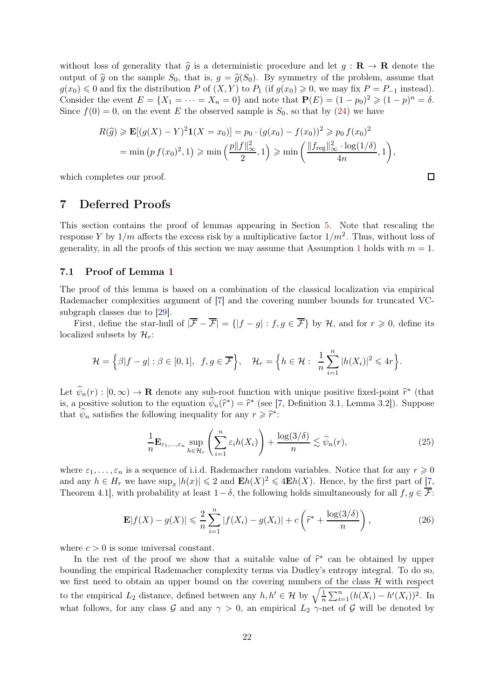without loss of generality that  $\hat{g}$  is a deterministic procedure and let  $g : \mathbf{R} \to \mathbf{R}$  denote the output of  $\hat{g}$  on the sample  $S_0$ , that is,  $g = \hat{g}(S_0)$ . By symmetry of the problem, assume that  $g(x_0) \leq 0$  and fix the distribution P of  $(X, Y)$  to  $P_1$  (if  $g(x_0) \geq 0$ , we may fix  $P = P_{-1}$  instead). Consider the event  $E = \{X_1 = \cdots = X_n = 0\}$  and note that  $P(E) = (1 - p_0)^2 \geq (1 - p)^n = \delta$ . Since  $f(0) = 0$ , on the event E the observed sample is  $S_0$ , so that by [\(24\)](#page-20-0) we have

$$
R(\hat{g}) \ge \mathbf{E}[(g(X) - Y)^2 \mathbf{1}(X = x_0)] = p_0 \cdot (g(x_0) - f(x_0))^2 \ge p_0 f(x_0)^2
$$
  
= min  $(p f(x_0)^2, 1) \ge \min \left( \frac{p ||f||_{\infty}^2}{2}, 1 \right) \ge \min \left( \frac{||f_{\text{reg}}||_{\infty}^2 \cdot \log(1/\delta)}{4n}, 1 \right),$ 

<span id="page-21-0"></span>which completes our proof.

# 7 Deferred Proofs

This section contains the proof of lemmas appearing in Section [5.](#page-12-0) Note that rescaling the response Y by  $1/m$  affects the excess risk by a multiplicative factor  $1/m^2$ . Thus, without loss of generality, in all the proofs of this section we may assume that Assumption [1](#page-2-0) holds with  $m = 1$ .

#### 7.1 Proof of Lemma [1](#page-15-1)

The proof of this lemma is based on a combination of the classical localization via empirical Rademacher complexities argument of [\[7\]](#page-25-21) and the covering number bounds for truncated VCsubgraph classes due to [\[29\]](#page-26-4).

First, define the star-hull of  $|\overline{\mathcal{F}} - \overline{\mathcal{F}}| = \{|f - g| : f, g \in \overline{\mathcal{F}}\}$  by H, and for  $r \geq 0$ , define its localized subsets by  $\mathcal{H}_r$ :

$$
\mathcal{H} = \left\{ \beta |f - g| : \beta \in [0, 1], f, g \in \overline{\mathcal{F}} \right\}, \quad \mathcal{H}_r = \left\{ h \in \mathcal{H} : \frac{1}{n} \sum_{i=1}^n |h(X_i)|^2 \leq 4r \right\}.
$$

Let  $\widehat{\psi}_n(r) : [0, \infty) \to \mathbf{R}$  denote any sub-root function with unique positive fixed-point  $\widehat{r}^*$  (that is, a positive solution to the equation  $\psi_n(\hat{r}^*) = \hat{r}^*$  (see [\[7,](#page-25-21) Definition 3.1, Lemma 3.2]). Suppose that  $\psi_n$  satisfies the following inequality for any  $r \geqslant \hat{r}^*$ :

<span id="page-21-2"></span>
$$
\frac{1}{n} \mathbf{E}_{\varepsilon_1, \dots, \varepsilon_n} \sup_{h \in \mathcal{H}_r} \left( \sum_{i=1}^n \varepsilon_i h(X_i) \right) + \frac{\log(3/\delta)}{n} \lesssim \widehat{\psi}_n(r),\tag{25}
$$

where  $\varepsilon_1, \ldots, \varepsilon_n$  is a sequence of i.i.d. Rademacher random variables. Notice that for any  $r \geq 0$ and any  $h \in H_r$  we have  $\sup_x |h(x)| \leq 2$  and  $\mathbf{E}h(X)^2 \leq 4\mathbf{E}h(X)$ . Hence, by the first part of  $\boxed{7}$ , Theorem 4.1], with probability at least  $1-\delta$ , the following holds simultaneously for all  $f, g \in \overline{\mathcal{F}}$ :

$$
\mathbf{E}|f(X) - g(X)| \leq \frac{2}{n} \sum_{i=1}^{n} |f(X_i) - g(X_i)| + c \left(\hat{r}^* + \frac{\log(3/\delta)}{n}\right),\tag{26}
$$

where  $c > 0$  is some universal constant.

In the rest of the proof we show that a suitable value of  $\hat{r}^*$  can be obtained by upper bounding the empirical Rademacher complexity terms via Dudley's entropy integral. To do so, we first need to obtain an upper bound on the covering numbers of the class  $H$  with respect to the empirical  $L_2$  distance, defined between any  $h, h' \in \mathcal{H}$  by  $\sqrt{\frac{1}{n}}$  $\frac{1}{n} \sum_{i=1}^{n} (h(X_i) - h'(X_i))^2$ . In what follows, for any class G and any  $\gamma > 0$ , an empirical  $L_2 \gamma$ -net of G will be denoted by

<span id="page-21-1"></span> $\Box$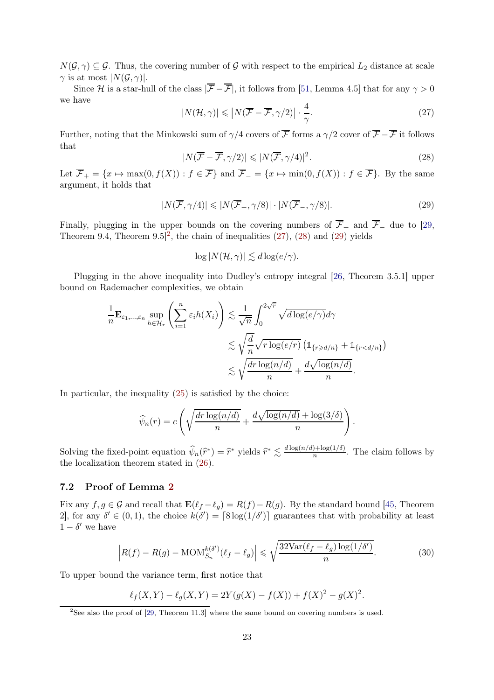$N(\mathcal{G}, \gamma) \subseteq \mathcal{G}$ . Thus, the covering number of  $\mathcal G$  with respect to the empirical  $L_2$  distance at scale  $\gamma$  is at most  $|N(\mathcal{G}, \gamma)|$ .

Since H is a star-hull of the class  $|\overline{\mathcal{F}} - \overline{\mathcal{F}}|$ , it follows from [\[51,](#page-27-24) Lemma 4.5] that for any  $\gamma > 0$ we have

<span id="page-22-1"></span>
$$
|N(\mathcal{H}, \gamma)| \leqslant \left| N(\overline{\mathcal{F}} - \overline{\mathcal{F}}, \gamma/2) \right| \cdot \frac{4}{\gamma}.
$$
 (27)

Further, noting that the Minkowski sum of  $\gamma/4$  covers of  $\overline{\mathcal{F}}$  forms a  $\gamma/2$  cover of  $\overline{\mathcal{F}}$  –  $\overline{\mathcal{F}}$  it follows that

<span id="page-22-2"></span>
$$
|N(\overline{\mathcal{F}} - \overline{\mathcal{F}}, \gamma/2)| \leq |N(\overline{\mathcal{F}}, \gamma/4)|^2. \tag{28}
$$

Let  $\mathcal{F}_+ = \{x \mapsto \max(0, f(X)) : f \in \mathcal{F}\}\$ and  $\mathcal{F}_- = \{x \mapsto \min(0, f(X)) : f \in \mathcal{F}\}\.$  By the same argument, it holds that

$$
|N(\overline{\mathcal{F}}, \gamma/4)| \leqslant |N(\overline{\mathcal{F}}_+, \gamma/8)| \cdot |N(\overline{\mathcal{F}}_-, \gamma/8)|. \tag{29}
$$

Finally, plugging in the upper bounds on the covering numbers of  $\overline{\mathcal{F}}_+$  and  $\overline{\mathcal{F}}_-$  due to [\[29,](#page-26-4) Theorem 9.4, Theorem  $9.5]^2$  $9.5]^2$ , the chain of inequalities  $(27)$ ,  $(28)$  and  $(29)$  yields

<span id="page-22-3"></span>
$$
\log |N(\mathcal{H}, \gamma)| \lesssim d \log(e/\gamma).
$$

Plugging in the above inequality into Dudley's entropy integral [\[26,](#page-25-20) Theorem 3.5.1] upper bound on Rademacher complexities, we obtain

$$
\frac{1}{n} \mathbf{E}_{\varepsilon_1, \dots, \varepsilon_n} \sup_{h \in \mathcal{H}_r} \left( \sum_{i=1}^n \varepsilon_i h(X_i) \right) \lesssim \frac{1}{\sqrt{n}} \int_0^{2\sqrt{r}} \sqrt{d \log(e/\gamma)} d\gamma
$$

$$
\lesssim \sqrt{\frac{d}{n}} \sqrt{r \log(e/r)} \left( \mathbb{1}_{\{r \ge d/n\}} + \mathbb{1}_{\{r < d/n\}} \right)
$$

$$
\lesssim \sqrt{\frac{dr \log(n/d)}{n}} + \frac{d \sqrt{\log(n/d)}}{n}.
$$

In particular, the inequality [\(25\)](#page-21-1) is satisfied by the choice:

$$
\widehat{\psi}_n(r) = c \left( \sqrt{\frac{dr \log(n/d)}{n}} + \frac{d \sqrt{\log(n/d)} + \log(3/\delta)}{n} \right).
$$

Solving the fixed-point equation  $\hat{\psi}_n(\hat{r}^*) = \hat{r}^*$  yields  $\hat{r}^* \leq \frac{d \log(n/d) + \log(1/\delta)}{n}$  $\frac{1+\log(1/\delta)}{n}$ . The claim follows by the localization theorem stated in [\(26\)](#page-21-2).

## 7.2 Proof of Lemma [2](#page-15-2)

Fix any  $f, g \in \mathcal{G}$  and recall that  $\mathbf{E}(\ell_f - \ell_q) = R(f) - R(g)$ . By the standard bound [\[45,](#page-26-7) Theorem 2, for any  $\delta' \in (0,1)$ , the choice  $k(\delta') = \lceil 8 \log(1/\delta') \rceil$  guarantees that with probability at least  $1 - \delta'$  we have

$$
\left| R(f) - R(g) - \text{MOM}_{S_n}^{k(\delta')}(\ell_f - \ell_g) \right| \leq \sqrt{\frac{32 \text{Var}(\ell_f - \ell_g) \log(1/\delta')}{n}}.
$$
 (30)

To upper bound the variance term, first notice that

<span id="page-22-4"></span>
$$
\ell_f(X,Y) - \ell_g(X,Y) = 2Y(g(X) - f(X)) + f(X)^2 - g(X)^2.
$$

<span id="page-22-0"></span> $2$ See also the proof of [\[29,](#page-26-4) Theorem 11.3] where the same bound on covering numbers is used.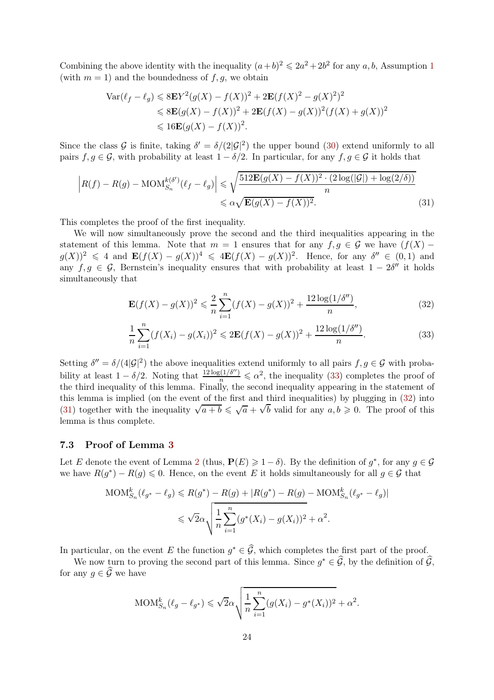Combining the above identity with the inequality  $(a+b)^2 \leq 2a^2 + 2b^2$  for any a, b, Assumption [1](#page-2-0) (with  $m = 1$ ) and the boundedness of  $f, g$ , we obtain

$$
\operatorname{Var}(\ell_f - \ell_g) \leqslant 8\mathbf{E}Y^2(g(X) - f(X))^2 + 2\mathbf{E}(f(X)^2 - g(X)^2)^2
$$
  
\n
$$
\leqslant 8\mathbf{E}(g(X) - f(X))^2 + 2\mathbf{E}(f(X) - g(X))^2(f(X) + g(X))^2
$$
  
\n
$$
\leqslant 16\mathbf{E}(g(X) - f(X))^2.
$$

Since the class G is finite, taking  $\delta' = \delta/(2|\mathcal{G}|^2)$  the upper bound [\(30\)](#page-22-4) extend uniformly to all pairs  $f, g \in \mathcal{G}$ , with probability at least  $1 - \delta/2$ . In particular, for any  $f, g \in \mathcal{G}$  it holds that

$$
\left| R(f) - R(g) - \text{MOM}_{S_n}^{k(\delta')}(\ell_f - \ell_g) \right| \leq \sqrt{\frac{512 \mathbf{E}(g(X) - f(X))^2 \cdot (2 \log(|\mathcal{G}|) + \log(2/\delta))}{n}}
$$
  

$$
\leq \alpha \sqrt{\mathbf{E}(g(X) - f(X))^2}.
$$
 (31)

This completes the proof of the first inequality.

We will now simultaneously prove the second and the third inequalities appearing in the statement of this lemma. Note that  $m = 1$  ensures that for any  $f, g \in \mathcal{G}$  we have  $(f(X)$  $g(X)^2 \leq 4$  and  $\mathbf{E}(f(X) - g(X))^4 \leq 4\mathbf{E}(f(X) - g(X))^2$ . Hence, for any  $\delta'' \in (0,1)$  and any  $f, g \in \mathcal{G}$ , Bernstein's inequality ensures that with probability at least  $1 - 2\delta''$  it holds simultaneously that

<span id="page-23-2"></span><span id="page-23-1"></span><span id="page-23-0"></span>
$$
\mathbf{E}(f(X) - g(X))^2 \le \frac{2}{n} \sum_{i=1}^n (f(X) - g(X))^2 + \frac{12\log(1/\delta'')}{n},\tag{32}
$$

$$
\frac{1}{n}\sum_{i=1}^{n}(f(X_i) - g(X_i))^2 \le 2\mathbf{E}(f(X) - g(X))^2 + \frac{12\log(1/\delta'')}{n}.
$$
\n(33)

Setting  $\delta'' = \delta/(4|\mathcal{G}|^2)$  the above inequalities extend uniformly to all pairs  $f, g \in \mathcal{G}$  with probability at least  $1 - \delta/2$ . Noting that  $\frac{12 \log(1/\delta'')}{n} \leq \alpha^2$ , the inequality [\(33\)](#page-23-0) completes the proof of the third inequality of this lemma. Finally, the second inequality appearing in the statement of this lemma is implied (on the event of the first and third inequalities) by plugging in [\(32\)](#page-23-1) into [\(31\)](#page-23-2) together with the inequality  $\sqrt{a+b} \leq \sqrt{a} + \sqrt{b}$  valid for any  $a, b \geq 0$ . The proof of this lemma is thus complete.

#### 7.3 Proof of Lemma [3](#page-15-3)

Let E denote the event of Lemma [2](#page-15-2) (thus,  $P(E) \geq 1 - \delta$ ). By the definition of  $g^*$ , for any  $g \in \mathcal{G}$ we have  $R(g^*) - R(g) \leq 0$ . Hence, on the event E it holds simultaneously for all  $g \in \mathcal{G}$  that

$$
\text{MOM}_{S_n}^k(\ell_{g^*} - \ell_g) \le R(g^*) - R(g) + |R(g^*) - R(g) - \text{MOM}_{S_n}^k(\ell_{g^*} - \ell_g)|
$$
  

$$
\le \sqrt{2}\alpha \sqrt{\frac{1}{n} \sum_{i=1}^n (g^*(X_i) - g(X_i))^2 + \alpha^2}.
$$

In particular, on the event E the function  $g^* \in \mathcal{G}$ , which completes the first part of the proof.

We now turn to proving the second part of this lemma. Since  $g^* \in \mathcal{G}$ , by the definition of  $\mathcal{G}$ , for any  $g \in \widehat{\mathcal{G}}$  we have

$$
MOM_{S_n}^k(\ell_g - \ell_{g^*}) \leq \sqrt{2}\alpha \sqrt{\frac{1}{n} \sum_{i=1}^n (g(X_i) - g^*(X_i))^2 + \alpha^2}.
$$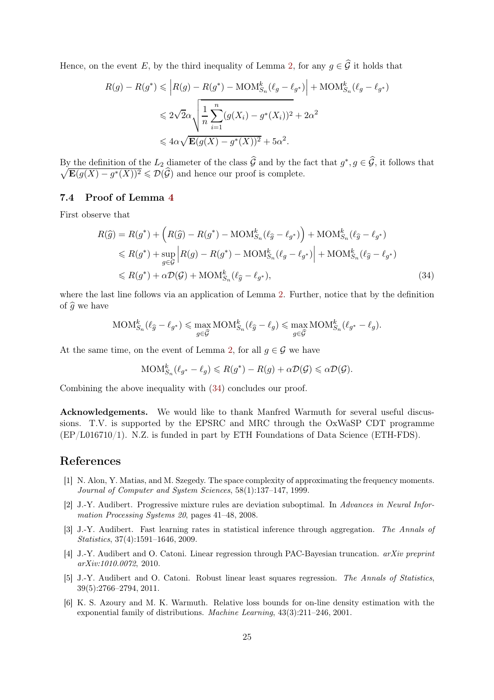Hence, on the event E, by the third inequality of Lemma [2,](#page-15-2) for any  $g \in \widehat{G}$  it holds that

$$
R(g) - R(g^*) \leqslant \left| R(g) - R(g^*) - \text{MOM}_{S_n}^k(\ell_g - \ell_{g^*}) \right| + \text{MOM}_{S_n}^k(\ell_g - \ell_{g^*})
$$
  

$$
\leqslant 2\sqrt{2}\alpha \sqrt{\frac{1}{n} \sum_{i=1}^n (g(X_i) - g^*(X_i))^2 + 2\alpha^2}
$$
  

$$
\leqslant 4\alpha \sqrt{\mathbf{E}(g(X) - g^*(X))^2} + 5\alpha^2.
$$

By the definition of the  $L_2$  diameter of the class G and by the fact that  $g^*, g \in \mathcal{G}$ , it follows that  $\sqrt{\mathbf{E}(g(X) - g^*(X))^2} \leq \mathcal{D}(\widehat{\mathcal{G}})$  and hence our proof is complete.

#### 7.4 Proof of Lemma [4](#page-16-1)

First observe that

$$
R(\widehat{g}) = R(g^*) + \left(R(\widehat{g}) - R(g^*) - \text{MOM}_{S_n}^k(\ell_{\widehat{g}} - \ell_{g^*})\right) + \text{MOM}_{S_n}^k(\ell_{\widehat{g}} - \ell_{g^*})
$$
  
\$\leq R(g^\*) + \sup\_{g \in \mathcal{G}} \left|R(g) - R(g^\*) - \text{MOM}\_{S\_n}^k(\ell\_g - \ell\_{g^\*})\right| + \text{MOM}\_{S\_n}^k(\ell\_{\widehat{g}} - \ell\_{g^\*})\$  
\$\leq R(g^\*) + \alpha \mathcal{D}(\mathcal{G}) + \text{MOM}\_{S\_n}^k(\ell\_{\widehat{g}} - \ell\_{g^\*}), \tag{34}

where the last line follows via an application of Lemma [2.](#page-15-2) Further, notice that by the definition of  $\widehat{a}$  we have

$$
\text{MOM}_{S_n}^k(\ell_{\widehat{g}} - \ell_{g^*}) \leq \max_{g \in \widehat{\mathcal{G}}} \text{MOM}_{S_n}^k(\ell_{\widehat{g}} - \ell_g) \leq \max_{g \in \widehat{\mathcal{G}}} \text{MOM}_{S_n}^k(\ell_{g^*} - \ell_g).
$$

At the same time, on the event of Lemma [2,](#page-15-2) for all  $q \in \mathcal{G}$  we have

<span id="page-24-6"></span>
$$
\text{MOM}_{S_n}^k(\ell_{g^*} - \ell_g) \leq R(g^*) - R(g) + \alpha \mathcal{D}(\mathcal{G}) \leq \alpha \mathcal{D}(\mathcal{G}).
$$

Combining the above inequality with [\(34\)](#page-24-6) concludes our proof.

Acknowledgements. We would like to thank Manfred Warmuth for several useful discussions. T.V. is supported by the EPSRC and MRC through the OxWaSP CDT programme (EP/L016710/1). N.Z. is funded in part by ETH Foundations of Data Science (ETH-FDS).

### <span id="page-24-4"></span>References

- [1] N. Alon, Y. Matias, and M. Szegedy. The space complexity of approximating the frequency moments. Journal of Computer and System Sciences, 58(1):137–147, 1999.
- <span id="page-24-2"></span>[2] J.-Y. Audibert. Progressive mixture rules are deviation suboptimal. In Advances in Neural Information Processing Systems 20, pages 41–48, 2008.
- <span id="page-24-5"></span>[3] J.-Y. Audibert. Fast learning rates in statistical inference through aggregation. The Annals of Statistics, 37(4):1591–1646, 2009.
- <span id="page-24-3"></span>[4] J.-Y. Audibert and O. Catoni. Linear regression through PAC-Bayesian truncation. arXiv preprint arXiv:1010.0072, 2010.
- <span id="page-24-0"></span>[5] J.-Y. Audibert and O. Catoni. Robust linear least squares regression. The Annals of Statistics, 39(5):2766–2794, 2011.
- <span id="page-24-1"></span>[6] K. S. Azoury and M. K. Warmuth. Relative loss bounds for on-line density estimation with the exponential family of distributions. Machine Learning, 43(3):211–246, 2001.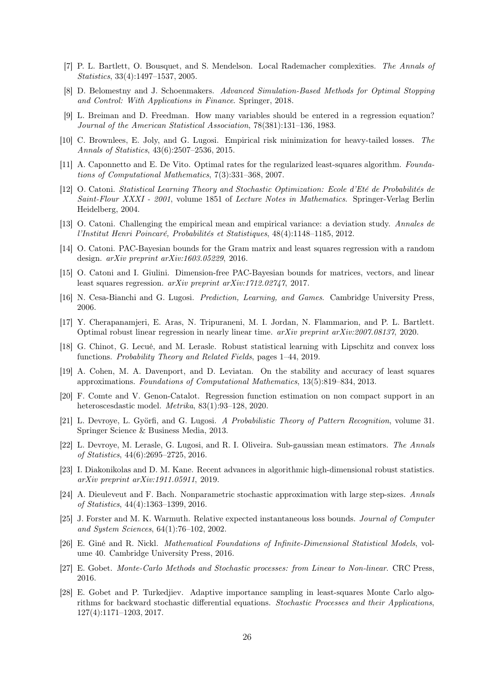- <span id="page-25-21"></span><span id="page-25-5"></span>[7] P. L. Bartlett, O. Bousquet, and S. Mendelson. Local Rademacher complexities. The Annals of Statistics, 33(4):1497–1537, 2005.
- <span id="page-25-0"></span>[8] D. Belomestny and J. Schoenmakers. Advanced Simulation-Based Methods for Optimal Stopping and Control: With Applications in Finance. Springer, 2018.
- [9] L. Breiman and D. Freedman. How many variables should be entered in a regression equation? Journal of the American Statistical Association, 78(381):131–136, 1983.
- <span id="page-25-17"></span>[10] C. Brownlees, E. Joly, and G. Lugosi. Empirical risk minimization for heavy-tailed losses. The Annals of Statistics, 43(6):2507–2536, 2015.
- <span id="page-25-19"></span><span id="page-25-1"></span>[11] A. Caponnetto and E. De Vito. Optimal rates for the regularized least-squares algorithm. Foundations of Computational Mathematics, 7(3):331–368, 2007.
- [12] O. Catoni. Statistical Learning Theory and Stochastic Optimization: Ecole d'Eté de Probabilités de Saint-Flour XXXI - 2001, volume 1851 of Lecture Notes in Mathematics. Springer-Verlag Berlin Heidelberg, 2004.
- <span id="page-25-4"></span>[13] O. Catoni. Challenging the empirical mean and empirical variance: a deviation study. Annales de l'Institut Henri Poincaré, Probabilités et Statistiques, 48(4):1148–1185, 2012.
- <span id="page-25-2"></span>[14] O. Catoni. PAC-Bayesian bounds for the Gram matrix and least squares regression with a random design. arXiv preprint arXiv:1603.05229, 2016.
- <span id="page-25-18"></span><span id="page-25-13"></span>[15] O. Catoni and I. Giulini. Dimension-free PAC-Bayesian bounds for matrices, vectors, and linear least squares regression. arXiv preprint arXiv:1712.02747, 2017.
- <span id="page-25-3"></span>[16] N. Cesa-Bianchi and G. Lugosi. Prediction, Learning, and Games. Cambridge University Press, 2006.
- [17] Y. Cherapanamjeri, E. Aras, N. Tripuraneni, M. I. Jordan, N. Flammarion, and P. L. Bartlett. Optimal robust linear regression in nearly linear time. arXiv preprint arXiv:2007.08137, 2020.
- <span id="page-25-14"></span>[18] G. Chinot, G. Lecué, and M. Lerasle. Robust statistical learning with Lipschitz and convex loss functions. Probability Theory and Related Fields, pages 1–44, 2019.
- <span id="page-25-8"></span>[19] A. Cohen, M. A. Davenport, and D. Leviatan. On the stability and accuracy of least squares approximations. Foundations of Computational Mathematics, 13(5):819–834, 2013.
- <span id="page-25-9"></span>[20] F. Comte and V. Genon-Catalot. Regression function estimation on non compact support in an heteroscesdastic model. Metrika, 83(1):93–128, 2020.
- <span id="page-25-11"></span>[21] L. Devroye, L. Györfi, and G. Lugosi. A Probabilistic Theory of Pattern Recognition, volume 31. Springer Science & Business Media, 2013.
- <span id="page-25-15"></span>[22] L. Devroye, M. Lerasle, G. Lugosi, and R. I. Oliveira. Sub-gaussian mean estimators. The Annals of Statistics, 44(6):2695–2725, 2016.
- <span id="page-25-16"></span>[23] I. Diakonikolas and D. M. Kane. Recent advances in algorithmic high-dimensional robust statistics. arXiv preprint arXiv:1911.05911, 2019.
- <span id="page-25-12"></span>[24] A. Dieuleveut and F. Bach. Nonparametric stochastic approximation with large step-sizes. Annals of Statistics, 44(4):1363–1399, 2016.
- <span id="page-25-10"></span>[25] J. Forster and M. K. Warmuth. Relative expected instantaneous loss bounds. Journal of Computer and System Sciences, 64(1):76–102, 2002.
- <span id="page-25-20"></span>[26] E. Giné and R. Nickl. Mathematical Foundations of Infinite-Dimensional Statistical Models, volume 40. Cambridge University Press, 2016.
- <span id="page-25-6"></span>[27] E. Gobet. Monte-Carlo Methods and Stochastic processes: from Linear to Non-linear. CRC Press, 2016.
- <span id="page-25-7"></span>[28] E. Gobet and P. Turkedjiev. Adaptive importance sampling in least-squares Monte Carlo algorithms for backward stochastic differential equations. Stochastic Processes and their Applications, 127(4):1171–1203, 2017.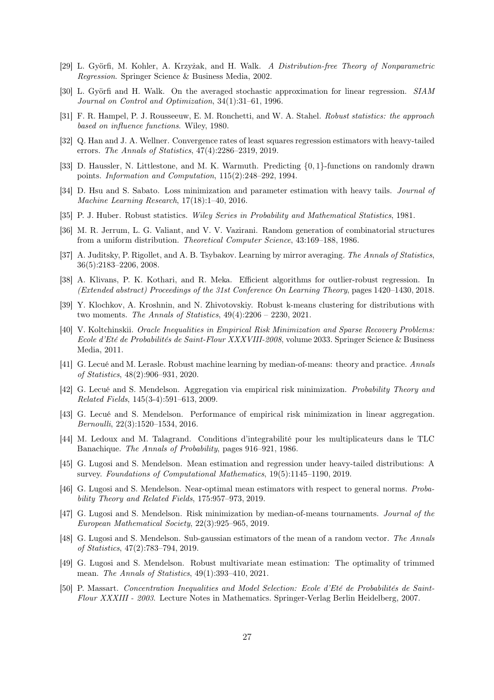- <span id="page-26-10"></span><span id="page-26-4"></span>[29] L. Györfi, M. Kohler, A. Krzyżak, and H. Walk. A Distribution-free Theory of Nonparametric Regression. Springer Science & Business Media, 2002.
- [30] L. Györfi and H. Walk. On the averaged stochastic approximation for linear regression. SIAM Journal on Control and Optimization, 34(1):31–61, 1996.
- <span id="page-26-21"></span><span id="page-26-11"></span>[31] F. R. Hampel, P. J. Rousseeuw, E. M. Ronchetti, and W. A. Stahel. Robust statistics: the approach based on influence functions. Wiley, 1980.
- [32] Q. Han and J. A. Wellner. Convergence rates of least squares regression estimators with heavy-tailed errors. The Annals of Statistics, 47(4):2286–2319, 2019.
- <span id="page-26-18"></span>[33] D. Haussler, N. Littlestone, and M. K. Warmuth. Predicting {0, 1}-functions on randomly drawn points. Information and Computation, 115(2):248–292, 1994.
- <span id="page-26-1"></span>[34] D. Hsu and S. Sabato. Loss minimization and parameter estimation with heavy tails. *Journal of* Machine Learning Research, 17(18):1–40, 2016.
- <span id="page-26-13"></span><span id="page-26-12"></span>[35] P. J. Huber. Robust statistics. Wiley Series in Probability and Mathematical Statistics, 1981.
- <span id="page-26-19"></span>[36] M. R. Jerrum, L. G. Valiant, and V. V. Vazirani. Random generation of combinatorial structures from a uniform distribution. Theoretical Computer Science, 43:169–188, 1986.
- [37] A. Juditsky, P. Rigollet, and A. B. Tsybakov. Learning by mirror averaging. The Annals of Statistics, 36(5):2183–2206, 2008.
- <span id="page-26-2"></span>[38] A. Klivans, P. K. Kothari, and R. Meka. Efficient algorithms for outlier-robust regression. In (Extended abstract) Proceedings of the 31st Conference On Learning Theory, pages 1420–1430, 2018.
- <span id="page-26-17"></span>[39] Y. Klochkov, A. Kroshnin, and N. Zhivotovskiy. Robust k-means clustering for distributions with two moments. The Annals of Statistics, 49(4):2206 – 2230, 2021.
- <span id="page-26-9"></span>[40] V. Koltchinskii. Oracle Inequalities in Empirical Risk Minimization and Sparse Recovery Problems: Ecole d'Eté de Probabilités de Saint-Flour XXXVIII-2008, volume 2033. Springer Science & Business Media, 2011.
- <span id="page-26-6"></span>[41] G. Lecué and M. Lerasle. Robust machine learning by median-of-means: theory and practice. Annals of Statistics, 48(2):906–931, 2020.
- <span id="page-26-5"></span>[42] G. Lecué and S. Mendelson. Aggregation via empirical risk minimization. Probability Theory and Related Fields, 145(3-4):591–613, 2009.
- <span id="page-26-0"></span>[43] G. Lecué and S. Mendelson. Performance of empirical risk minimization in linear aggregation. Bernoulli, 22(3):1520–1534, 2016.
- <span id="page-26-20"></span>[44] M. Ledoux and M. Talagrand. Conditions d'integrabilité pour les multiplicateurs dans le TLC Banachique. The Annals of Probability, pages 916–921, 1986.
- <span id="page-26-7"></span>[45] G. Lugosi and S. Mendelson. Mean estimation and regression under heavy-tailed distributions: A survey. Foundations of Computational Mathematics, 19(5):1145–1190, 2019.
- <span id="page-26-14"></span>[46] G. Lugosi and S. Mendelson. Near-optimal mean estimators with respect to general norms. Probability Theory and Related Fields, 175:957–973, 2019.
- <span id="page-26-3"></span>[47] G. Lugosi and S. Mendelson. Risk minimization by median-of-means tournaments. Journal of the European Mathematical Society, 22(3):925–965, 2019.
- <span id="page-26-15"></span>[48] G. Lugosi and S. Mendelson. Sub-gaussian estimators of the mean of a random vector. The Annals of Statistics, 47(2):783–794, 2019.
- <span id="page-26-16"></span>[49] G. Lugosi and S. Mendelson. Robust multivariate mean estimation: The optimality of trimmed mean. The Annals of Statistics, 49(1):393–410, 2021.
- <span id="page-26-8"></span>[50] P. Massart. Concentration Inequalities and Model Selection: Ecole d'Eté de Probabilités de Saint-Flour XXXIII - 2003. Lecture Notes in Mathematics. Springer-Verlag Berlin Heidelberg, 2007.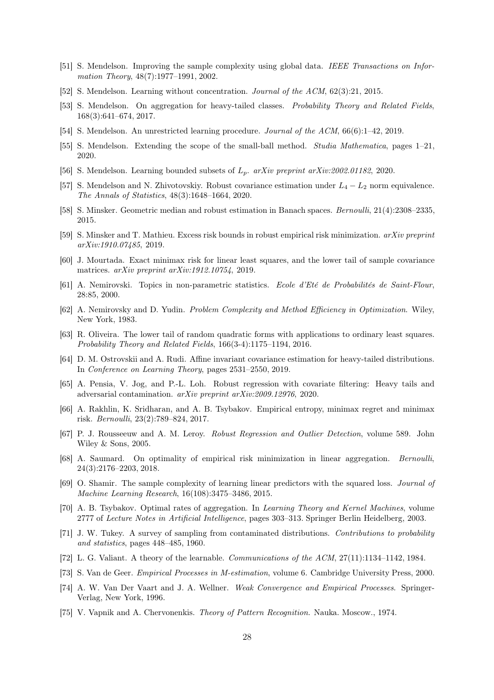- <span id="page-27-24"></span><span id="page-27-10"></span>[51] S. Mendelson. Improving the sample complexity using global data. IEEE Transactions on Information Theory, 48(7):1977-1991, 2002.
- <span id="page-27-5"></span>[52] S. Mendelson. Learning without concentration. Journal of the ACM, 62(3):21, 2015.
- [53] S. Mendelson. On aggregation for heavy-tailed classes. Probability Theory and Related Fields, 168(3):641–674, 2017.
- <span id="page-27-13"></span><span id="page-27-6"></span>[54] S. Mendelson. An unrestricted learning procedure. Journal of the ACM, 66(6):1–42, 2019.
- <span id="page-27-14"></span>[55] S. Mendelson. Extending the scope of the small-ball method. Studia Mathematica, pages 1–21, 2020.
- <span id="page-27-11"></span>[56] S. Mendelson. Learning bounded subsets of  $L_p$ .  $arXiv$  preprint  $arXiv:2002.01182$ , 2020.
- <span id="page-27-18"></span>[57] S. Mendelson and N. Zhivotovskiy. Robust covariance estimation under  $L_4 - L_2$  norm equivalence. The Annals of Statistics, 48(3):1648–1664, 2020.
- <span id="page-27-19"></span>[58] S. Minsker. Geometric median and robust estimation in Banach spaces. Bernoulli, 21(4):2308–2335, 2015.
- <span id="page-27-0"></span>[59] S. Minsker and T. Mathieu. Excess risk bounds in robust empirical risk minimization. arXiv preprint arXiv:1910.07485, 2019.
- <span id="page-27-22"></span>[60] J. Mourtada. Exact minimax risk for linear least squares, and the lower tail of sample covariance matrices. arXiv preprint arXiv:1912.10754, 2019.
- [61] A. Nemirovski. Topics in non-parametric statistics. Ecole d'Eté de Probabilités de Saint-Flour, 28:85, 2000.
- <span id="page-27-17"></span>[62] A. Nemirovsky and D. Yudin. Problem Complexity and Method Efficiency in Optimization. Wiley, New York, 1983.
- <span id="page-27-1"></span>[63] R. Oliveira. The lower tail of random quadratic forms with applications to ordinary least squares. Probability Theory and Related Fields, 166(3-4):1175–1194, 2016.
- <span id="page-27-12"></span>[64] D. M. Ostrovskii and A. Rudi. Affine invariant covariance estimation for heavy-tailed distributions. In Conference on Learning Theory, pages 2531–2550, 2019.
- <span id="page-27-2"></span>[65] A. Pensia, V. Jog, and P.-L. Loh. Robust regression with covariate filtering: Heavy tails and adversarial contamination. arXiv preprint arXiv:2009.12976, 2020.
- <span id="page-27-7"></span>[66] A. Rakhlin, K. Sridharan, and A. B. Tsybakov. Empirical entropy, minimax regret and minimax risk. Bernoulli, 23(2):789–824, 2017.
- <span id="page-27-16"></span>[67] P. J. Rousseeuw and A. M. Leroy. Robust Regression and Outlier Detection, volume 589. John Wiley & Sons, 2005.
- <span id="page-27-3"></span>[68] A. Saumard. On optimality of empirical risk minimization in linear aggregation. Bernoulli, 24(3):2176–2203, 2018.
- <span id="page-27-4"></span>[69] O. Shamir. The sample complexity of learning linear predictors with the squared loss. Journal of Machine Learning Research, 16(108):3475–3486, 2015.
- <span id="page-27-8"></span>[70] A. B. Tsybakov. Optimal rates of aggregation. In Learning Theory and Kernel Machines, volume 2777 of Lecture Notes in Artificial Intelligence, pages 303–313. Springer Berlin Heidelberg, 2003.
- <span id="page-27-15"></span>[71] J. W. Tukey. A survey of sampling from contaminated distributions. Contributions to probability and statistics, pages 448–485, 1960.
- <span id="page-27-21"></span><span id="page-27-9"></span>[72] L. G. Valiant. A theory of the learnable. Communications of the ACM, 27(11):1134–1142, 1984.
- <span id="page-27-23"></span>[73] S. Van de Geer. Empirical Processes in M-estimation, volume 6. Cambridge University Press, 2000.
- [74] A. W. Van Der Vaart and J. A. Wellner. Weak Convergence and Empirical Processes. Springer-Verlag, New York, 1996.
- <span id="page-27-20"></span>[75] V. Vapnik and A. Chervonenkis. Theory of Pattern Recognition. Nauka. Moscow., 1974.